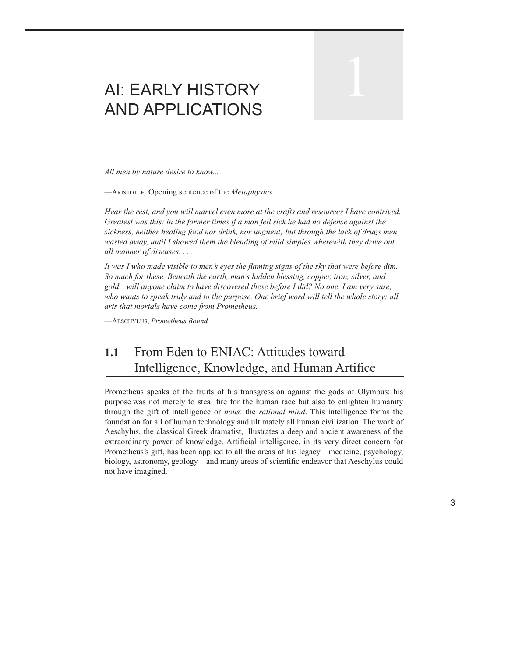# AI: EARLY HISTORY AND APPLICATIONS

*All men by nature desire to know...*

—ARISTOTLE*,* Opening sentence of the *Metaphysics*

*Hear the rest, and you will marvel even more at the crafts and resources I have contrived. Greatest was this: in the former times if a man fell sick he had no defense against the sickness, neither healing food nor drink, nor unguent; but through the lack of drugs men wasted away, until I showed them the blending of mild simples wherewith they drive out all manner of diseases. . . .*

*It was I who made visible to men's eyes the flaming signs of the sky that were before dim. So much for these. Beneath the earth, man's hidden blessing, copper, iron, silver, and gold—will anyone claim to have discovered these before I did? No one, I am very sure, who wants to speak truly and to the purpose. One brief word will tell the whole story: all arts that mortals have come from Prometheus.* 

—AESCHYLUS, *Prometheus Bound*

# **1.1** From Eden to ENIAC: Attitudes toward Intelligence, Knowledge, and Human Artifice

Prometheus speaks of the fruits of his transgression against the gods of Olympus: his purpose was not merely to steal fire for the human race but also to enlighten humanity through the gift of intelligence or *nous*: the *rational mind*. This intelligence forms the foundation for all of human technology and ultimately all human civilization. The work of Aeschylus, the classical Greek dramatist, illustrates a deep and ancient awareness of the extraordinary power of knowledge. Artificial intelligence, in its very direct concern for Prometheus's gift, has been applied to all the areas of his legacy—medicine, psychology, biology, astronomy, geology—and many areas of scientific endeavor that Aeschylus could not have imagined.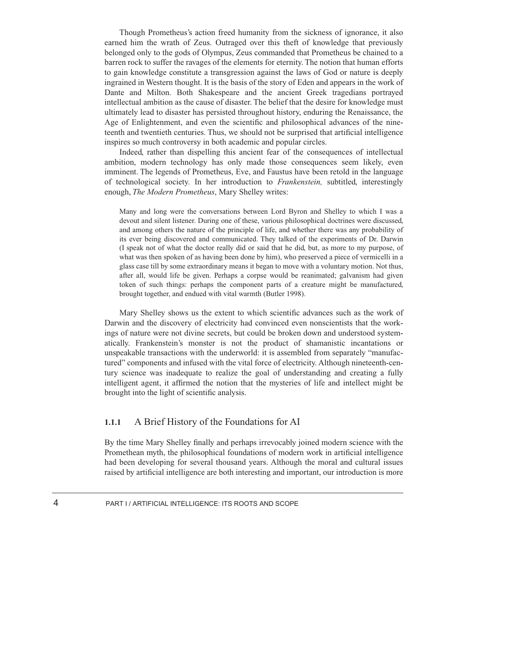Though Prometheus's action freed humanity from the sickness of ignorance, it also earned him the wrath of Zeus. Outraged over this theft of knowledge that previously belonged only to the gods of Olympus, Zeus commanded that Prometheus be chained to a barren rock to suffer the ravages of the elements for eternity. The notion that human efforts to gain knowledge constitute a transgression against the laws of God or nature is deeply ingrained in Western thought. It is the basis of the story of Eden and appears in the work of Dante and Milton. Both Shakespeare and the ancient Greek tragedians portrayed intellectual ambition as the cause of disaster. The belief that the desire for knowledge must ultimately lead to disaster has persisted throughout history, enduring the Renaissance, the Age of Enlightenment, and even the scientific and philosophical advances of the nineteenth and twentieth centuries. Thus, we should not be surprised that artificial intelligence inspires so much controversy in both academic and popular circles.

Indeed, rather than dispelling this ancient fear of the consequences of intellectual ambition, modern technology has only made those consequences seem likely, even imminent. The legends of Prometheus, Eve, and Faustus have been retold in the language of technological society. In her introduction to *Frankenstein,* subtitled, interestingly enough, *The Modern Prometheus*, Mary Shelley writes:

Many and long were the conversations between Lord Byron and Shelley to which I was a devout and silent listener. During one of these, various philosophical doctrines were discussed, and among others the nature of the principle of life, and whether there was any probability of its ever being discovered and communicated. They talked of the experiments of Dr. Darwin (I speak not of what the doctor really did or said that he did, but, as more to my purpose, of what was then spoken of as having been done by him), who preserved a piece of vermicelli in a glass case till by some extraordinary means it began to move with a voluntary motion. Not thus, after all, would life be given. Perhaps a corpse would be reanimated; galvanism had given token of such things: perhaps the component parts of a creature might be manufactured, brought together, and endued with vital warmth (Butler 1998).

Mary Shelley shows us the extent to which scientific advances such as the work of Darwin and the discovery of electricity had convinced even nonscientists that the workings of nature were not divine secrets, but could be broken down and understood systematically. Frankenstein's monster is not the product of shamanistic incantations or unspeakable transactions with the underworld: it is assembled from separately "manufactured" components and infused with the vital force of electricity. Although nineteenth-century science was inadequate to realize the goal of understanding and creating a fully intelligent agent, it affirmed the notion that the mysteries of life and intellect might be brought into the light of scientific analysis.

#### **1.1.1** A Brief History of the Foundations for AI

By the time Mary Shelley finally and perhaps irrevocably joined modern science with the Promethean myth, the philosophical foundations of modern work in artificial intelligence had been developing for several thousand years. Although the moral and cultural issues raised by artificial intelligence are both interesting and important, our introduction is more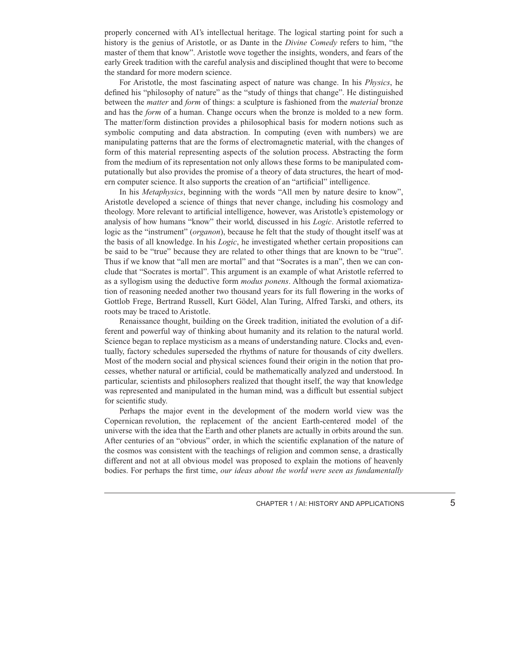properly concerned with AI's intellectual heritage. The logical starting point for such a history is the genius of Aristotle, or as Dante in the *Divine Comedy* refers to him, "the master of them that know". Aristotle wove together the insights, wonders, and fears of the early Greek tradition with the careful analysis and disciplined thought that were to become the standard for more modern science.

For Aristotle, the most fascinating aspect of nature was change. In his *Physics*, he defined his "philosophy of nature" as the "study of things that change". He distinguished between the *matter* and *form* of things: a sculpture is fashioned from the *material* bronze and has the *form* of a human. Change occurs when the bronze is molded to a new form. The matter/form distinction provides a philosophical basis for modern notions such as symbolic computing and data abstraction. In computing (even with numbers) we are manipulating patterns that are the forms of electromagnetic material, with the changes of form of this material representing aspects of the solution process. Abstracting the form from the medium of its representation not only allows these forms to be manipulated computationally but also provides the promise of a theory of data structures, the heart of modern computer science. It also supports the creation of an "artificial" intelligence.

In his *Metaphysics*, beginning with the words "All men by nature desire to know", Aristotle developed a science of things that never change, including his cosmology and theology. More relevant to artificial intelligence, however, was Aristotle's epistemology or analysis of how humans "know" their world, discussed in his *Logic*. Aristotle referred to logic as the "instrument" (*organon*), because he felt that the study of thought itself was at the basis of all knowledge. In his *Logic*, he investigated whether certain propositions can be said to be "true" because they are related to other things that are known to be "true". Thus if we know that "all men are mortal" and that "Socrates is a man", then we can conclude that "Socrates is mortal". This argument is an example of what Aristotle referred to as a syllogism using the deductive form *modus ponens*. Although the formal axiomatization of reasoning needed another two thousand years for its full flowering in the works of Gottlob Frege, Bertrand Russell, Kurt Gödel, Alan Turing, Alfred Tarski, and others, its roots may be traced to Aristotle.

Renaissance thought, building on the Greek tradition, initiated the evolution of a different and powerful way of thinking about humanity and its relation to the natural world. Science began to replace mysticism as a means of understanding nature. Clocks and, eventually, factory schedules superseded the rhythms of nature for thousands of city dwellers. Most of the modern social and physical sciences found their origin in the notion that processes, whether natural or artificial, could be mathematically analyzed and understood. In particular, scientists and philosophers realized that thought itself, the way that knowledge was represented and manipulated in the human mind, was a difficult but essential subject for scientific study.

Perhaps the major event in the development of the modern world view was the Copernican revolution, the replacement of the ancient Earth-centered model of the universe with the idea that the Earth and other planets are actually in orbits around the sun. After centuries of an "obvious" order, in which the scientific explanation of the nature of the cosmos was consistent with the teachings of religion and common sense, a drastically different and not at all obvious model was proposed to explain the motions of heavenly bodies. For perhaps the first time, *our ideas about the world were seen as fundamentally*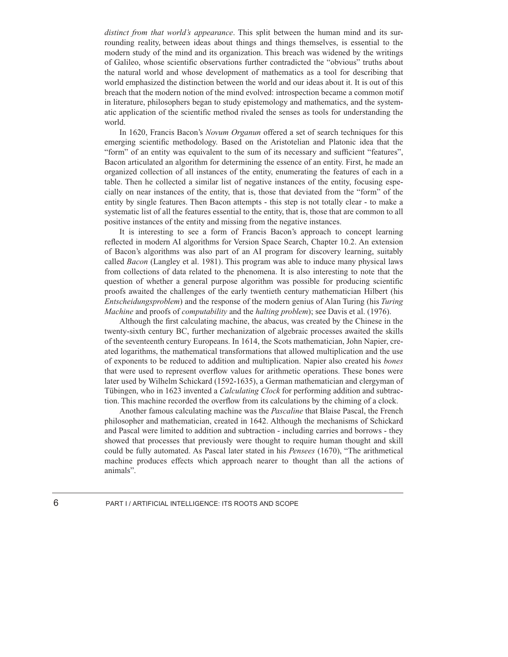*distinct from that world's appearance*. This split between the human mind and its surrounding reality, between ideas about things and things themselves, is essential to the modern study of the mind and its organization. This breach was widened by the writings of Galileo, whose scientific observations further contradicted the "obvious" truths about the natural world and whose development of mathematics as a tool for describing that world emphasized the distinction between the world and our ideas about it. It is out of this breach that the modern notion of the mind evolved: introspection became a common motif in literature, philosophers began to study epistemology and mathematics, and the systematic application of the scientific method rivaled the senses as tools for understanding the world.

In 1620, Francis Bacon's *Novum Organun* offered a set of search techniques for this emerging scientific methodology. Based on the Aristotelian and Platonic idea that the "form" of an entity was equivalent to the sum of its necessary and sufficient "features", Bacon articulated an algorithm for determining the essence of an entity. First, he made an organized collection of all instances of the entity, enumerating the features of each in a table. Then he collected a similar list of negative instances of the entity, focusing especially on near instances of the entity, that is, those that deviated from the "form" of the entity by single features. Then Bacon attempts - this step is not totally clear - to make a systematic list of all the features essential to the entity, that is, those that are common to all positive instances of the entity and missing from the negative instances.

It is interesting to see a form of Francis Bacon's approach to concept learning reflected in modern AI algorithms for Version Space Search, Chapter 10.2. An extension of Bacon's algorithms was also part of an AI program for discovery learning, suitably called *Bacon* (Langley et al. 1981). This program was able to induce many physical laws from collections of data related to the phenomena. It is also interesting to note that the question of whether a general purpose algorithm was possible for producing scientific proofs awaited the challenges of the early twentieth century mathematician Hilbert (his *Entscheidungsproblem*) and the response of the modern genius of Alan Turing (his *Turing Machine* and proofs of *computability* and the *halting problem*); see Davis et al. (1976).

Although the first calculating machine, the abacus, was created by the Chinese in the twenty-sixth century BC, further mechanization of algebraic processes awaited the skills of the seventeenth century Europeans. In 1614, the Scots mathematician, John Napier, created logarithms, the mathematical transformations that allowed multiplication and the use of exponents to be reduced to addition and multiplication. Napier also created his *bones* that were used to represent overflow values for arithmetic operations. These bones were later used by Wilhelm Schickard (1592-1635), a German mathematician and clergyman of Tübingen, who in 1623 invented a *Calculating Clock* for performing addition and subtraction. This machine recorded the overflow from its calculations by the chiming of a clock.

Another famous calculating machine was the *Pascaline* that Blaise Pascal, the French philosopher and mathematician, created in 1642. Although the mechanisms of Schickard and Pascal were limited to addition and subtraction - including carries and borrows - they showed that processes that previously were thought to require human thought and skill could be fully automated. As Pascal later stated in his *Pensees* (1670), "The arithmetical machine produces effects which approach nearer to thought than all the actions of animals".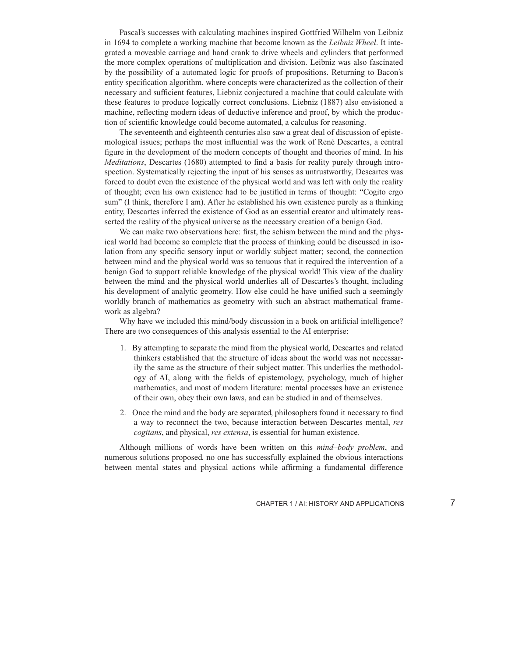Pascal's successes with calculating machines inspired Gottfried Wilhelm von Leibniz in 1694 to complete a working machine that become known as the *Leibniz Wheel*. It integrated a moveable carriage and hand crank to drive wheels and cylinders that performed the more complex operations of multiplication and division. Leibniz was also fascinated by the possibility of a automated logic for proofs of propositions. Returning to Bacon's entity specification algorithm, where concepts were characterized as the collection of their necessary and sufficient features, Liebniz conjectured a machine that could calculate with these features to produce logically correct conclusions. Liebniz (1887) also envisioned a machine, reflecting modern ideas of deductive inference and proof, by which the production of scientific knowledge could become automated, a calculus for reasoning.

The seventeenth and eighteenth centuries also saw a great deal of discussion of epistemological issues; perhaps the most influential was the work of René Descartes, a central figure in the development of the modern concepts of thought and theories of mind. In his *Meditations*, Descartes (1680) attempted to find a basis for reality purely through introspection. Systematically rejecting the input of his senses as untrustworthy, Descartes was forced to doubt even the existence of the physical world and was left with only the reality of thought; even his own existence had to be justified in terms of thought: "Cogito ergo sum" (I think, therefore I am). After he established his own existence purely as a thinking entity, Descartes inferred the existence of God as an essential creator and ultimately reasserted the reality of the physical universe as the necessary creation of a benign God.

We can make two observations here: first, the schism between the mind and the physical world had become so complete that the process of thinking could be discussed in isolation from any specific sensory input or worldly subject matter; second, the connection between mind and the physical world was so tenuous that it required the intervention of a benign God to support reliable knowledge of the physical world! This view of the duality between the mind and the physical world underlies all of Descartes's thought, including his development of analytic geometry. How else could he have unified such a seemingly worldly branch of mathematics as geometry with such an abstract mathematical framework as algebra?

Why have we included this mind/body discussion in a book on artificial intelligence? There are two consequences of this analysis essential to the AI enterprise:

- 1. By attempting to separate the mind from the physical world, Descartes and related thinkers established that the structure of ideas about the world was not necessarily the same as the structure of their subject matter. This underlies the methodology of AI, along with the fields of epistemology, psychology, much of higher mathematics, and most of modern literature: mental processes have an existence of their own, obey their own laws, and can be studied in and of themselves.
- 2. Once the mind and the body are separated, philosophers found it necessary to find a way to reconnect the two, because interaction between Descartes mental, *res cogitans*, and physical, *res extensa*, is essential for human existence.

Although millions of words have been written on this *mind–body problem*, and numerous solutions proposed, no one has successfully explained the obvious interactions between mental states and physical actions while affirming a fundamental difference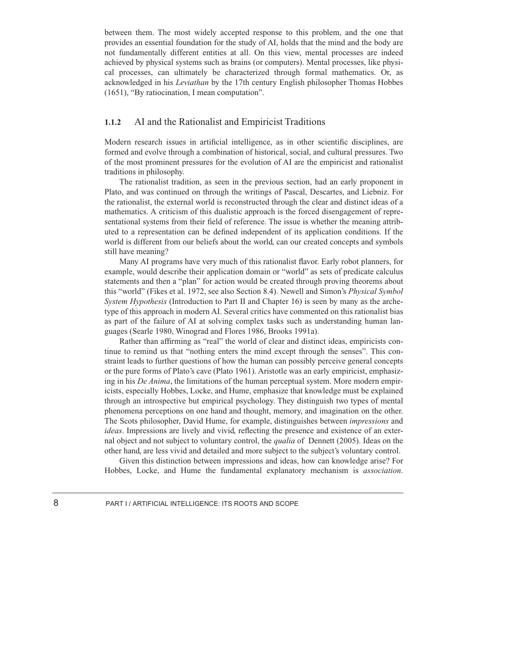between them. The most widely accepted response to this problem, and the one that provides an essential foundation for the study of AI, holds that the mind and the body are not fundamentally different entities at all. On this view, mental processes are indeed achieved by physical systems such as brains (or computers). Mental processes, like physical processes, can ultimately be characterized through formal mathematics. Or, as acknowledged in his *Leviathan* by the 17th century English philosopher Thomas Hobbes (1651), "By ratiocination, I mean computation".

#### **1.1.2** AI and the Rationalist and Empiricist Traditions

Modern research issues in artificial intelligence, as in other scientific disciplines, are formed and evolve through a combination of historical, social, and cultural pressures. Two of the most prominent pressures for the evolution of AI are the empiricist and rationalist traditions in philosophy.

The rationalist tradition, as seen in the previous section, had an early proponent in Plato, and was continued on through the writings of Pascal, Descartes, and Liebniz. For the rationalist, the external world is reconstructed through the clear and distinct ideas of a mathematics. A criticism of this dualistic approach is the forced disengagement of representational systems from their field of reference. The issue is whether the meaning attributed to a representation can be defined independent of its application conditions. If the world is different from our beliefs about the world, can our created concepts and symbols still have meaning?

Many AI programs have very much of this rationalist flavor. Early robot planners, for example, would describe their application domain or "world" as sets of predicate calculus statements and then a "plan" for action would be created through proving theorems about this "world" (Fikes et al. 1972, see also Section 8.4). Newell and Simon's *Physical Symbol System Hypothesis* (Introduction to Part II and Chapter 16) is seen by many as the archetype of this approach in modern AI. Several critics have commented on this rationalist bias as part of the failure of AI at solving complex tasks such as understanding human languages (Searle 1980, Winograd and Flores 1986, Brooks 1991a).

Rather than affirming as "real" the world of clear and distinct ideas, empiricists continue to remind us that "nothing enters the mind except through the senses". This constraint leads to further questions of how the human can possibly perceive general concepts or the pure forms of Plato's cave (Plato 1961). Aristotle was an early empiricist, emphasizing in his *De Anima*, the limitations of the human perceptual system. More modern empiricists, especially Hobbes, Locke, and Hume, emphasize that knowledge must be explained through an introspective but empirical psychology. They distinguish two types of mental phenomena perceptions on one hand and thought, memory, and imagination on the other. The Scots philosopher, David Hume, for example, distinguishes between *impressions* and *ideas*. Impressions are lively and vivid, reflecting the presence and existence of an external object and not subject to voluntary control, the *qualia* of Dennett (2005). Ideas on the other hand, are less vivid and detailed and more subject to the subject's voluntary control.

Given this distinction between impressions and ideas, how can knowledge arise? For Hobbes, Locke, and Hume the fundamental explanatory mechanism is *association*.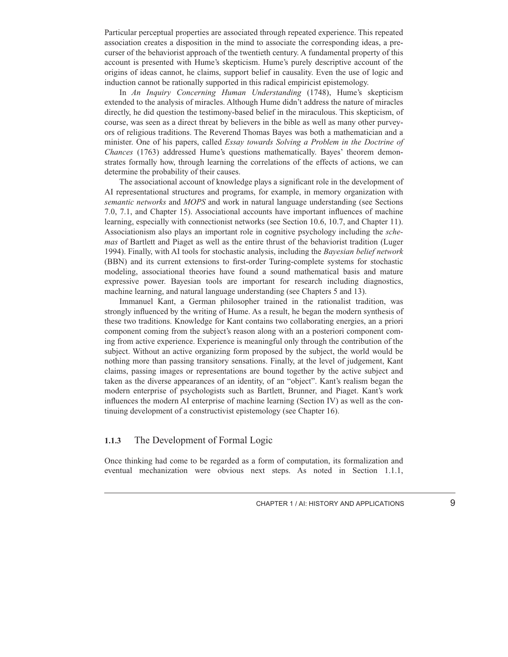Particular perceptual properties are associated through repeated experience. This repeated association creates a disposition in the mind to associate the corresponding ideas, a precurser of the behaviorist approach of the twentieth century. A fundamental property of this account is presented with Hume's skepticism. Hume's purely descriptive account of the origins of ideas cannot, he claims, support belief in causality. Even the use of logic and induction cannot be rationally supported in this radical empiricist epistemology.

In *An Inquiry Concerning Human Understanding* (1748), Hume's skepticism extended to the analysis of miracles. Although Hume didn't address the nature of miracles directly, he did question the testimony-based belief in the miraculous. This skepticism, of course, was seen as a direct threat by believers in the bible as well as many other purveyors of religious traditions. The Reverend Thomas Bayes was both a mathematician and a minister. One of his papers, called *Essay towards Solving a Problem in the Doctrine of Chances* (1763) addressed Hume's questions mathematically. Bayes' theorem demonstrates formally how, through learning the correlations of the effects of actions, we can determine the probability of their causes.

The associational account of knowledge plays a significant role in the development of AI representational structures and programs, for example, in memory organization with *semantic networks* and *MOPS* and work in natural language understanding (see Sections 7.0, 7.1, and Chapter 15). Associational accounts have important influences of machine learning, especially with connectionist networks (see Section 10.6, 10.7, and Chapter 11). Associationism also plays an important role in cognitive psychology including the *schemas* of Bartlett and Piaget as well as the entire thrust of the behaviorist tradition (Luger 1994). Finally, with AI tools for stochastic analysis, including the *Bayesian belief network* (BBN) and its current extensions to first-order Turing-complete systems for stochastic modeling, associational theories have found a sound mathematical basis and mature expressive power. Bayesian tools are important for research including diagnostics, machine learning, and natural language understanding (see Chapters 5 and 13).

Immanuel Kant, a German philosopher trained in the rationalist tradition, was strongly influenced by the writing of Hume. As a result, he began the modern synthesis of these two traditions. Knowledge for Kant contains two collaborating energies, an a priori component coming from the subject's reason along with an a posteriori component coming from active experience. Experience is meaningful only through the contribution of the subject. Without an active organizing form proposed by the subject, the world would be nothing more than passing transitory sensations. Finally, at the level of judgement, Kant claims, passing images or representations are bound together by the active subject and taken as the diverse appearances of an identity, of an "object". Kant's realism began the modern enterprise of psychologists such as Bartlett, Brunner, and Piaget. Kant's work influences the modern AI enterprise of machine learning (Section IV) as well as the continuing development of a constructivist epistemology (see Chapter 16).

#### **1.1.3** The Development of Formal Logic

Once thinking had come to be regarded as a form of computation, its formalization and eventual mechanization were obvious next steps. As noted in Section 1.1.1,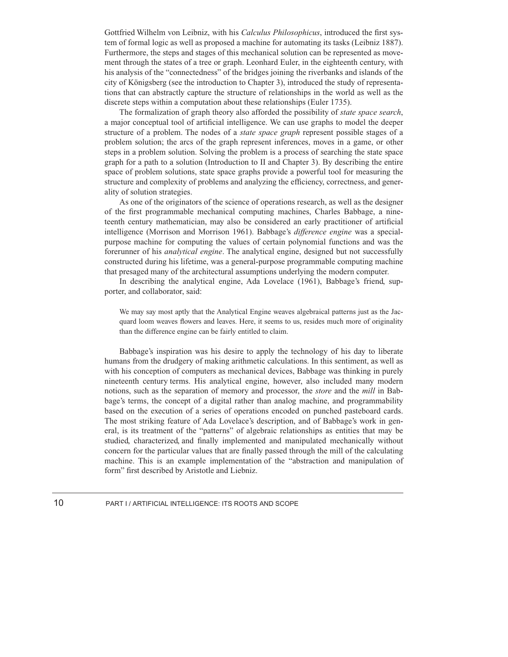Gottfried Wilhelm von Leibniz, with his *Calculus Philosophicus*, introduced the first system of formal logic as well as proposed a machine for automating its tasks (Leibniz 1887). Furthermore, the steps and stages of this mechanical solution can be represented as movement through the states of a tree or graph. Leonhard Euler, in the eighteenth century, with his analysis of the "connectedness" of the bridges joining the riverbanks and islands of the city of Königsberg (see the introduction to Chapter 3), introduced the study of representations that can abstractly capture the structure of relationships in the world as well as the discrete steps within a computation about these relationships (Euler 1735).

The formalization of graph theory also afforded the possibility of *state space search*, a major conceptual tool of artificial intelligence. We can use graphs to model the deeper structure of a problem. The nodes of a *state space graph* represent possible stages of a problem solution; the arcs of the graph represent inferences, moves in a game, or other steps in a problem solution. Solving the problem is a process of searching the state space graph for a path to a solution (Introduction to II and Chapter 3). By describing the entire space of problem solutions, state space graphs provide a powerful tool for measuring the structure and complexity of problems and analyzing the efficiency, correctness, and generality of solution strategies.

As one of the originators of the science of operations research, as well as the designer of the first programmable mechanical computing machines, Charles Babbage, a nineteenth century mathematician, may also be considered an early practitioner of artificial intelligence (Morrison and Morrison 1961). Babbage's *difference engine* was a specialpurpose machine for computing the values of certain polynomial functions and was the forerunner of his *analytical engine*. The analytical engine, designed but not successfully constructed during his lifetime, was a general-purpose programmable computing machine that presaged many of the architectural assumptions underlying the modern computer.

In describing the analytical engine, Ada Lovelace (1961), Babbage's friend, supporter, and collaborator, said:

We may say most aptly that the Analytical Engine weaves algebraical patterns just as the Jacquard loom weaves flowers and leaves. Here, it seems to us, resides much more of originality than the difference engine can be fairly entitled to claim.

Babbage's inspiration was his desire to apply the technology of his day to liberate humans from the drudgery of making arithmetic calculations. In this sentiment, as well as with his conception of computers as mechanical devices, Babbage was thinking in purely nineteenth century terms. His analytical engine, however, also included many modern notions, such as the separation of memory and processor, the *store* and the *mill* in Babbage's terms, the concept of a digital rather than analog machine, and programmability based on the execution of a series of operations encoded on punched pasteboard cards. The most striking feature of Ada Lovelace's description, and of Babbage's work in general, is its treatment of the "patterns" of algebraic relationships as entities that may be studied, characterized, and finally implemented and manipulated mechanically without concern for the particular values that are finally passed through the mill of the calculating machine. This is an example implementation of the "abstraction and manipulation of form" first described by Aristotle and Liebniz.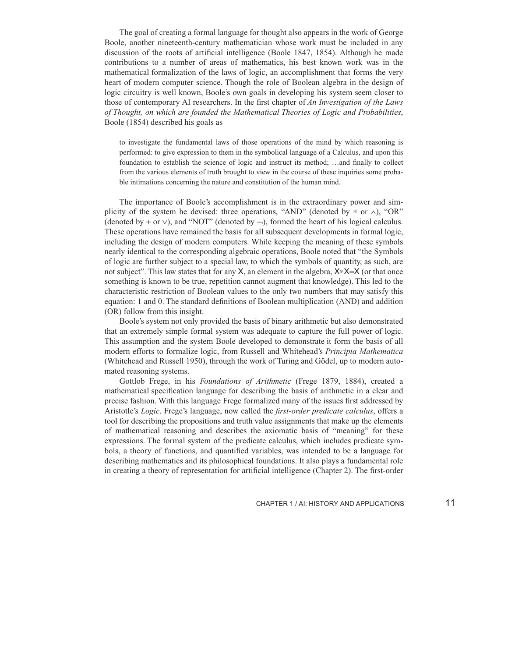The goal of creating a formal language for thought also appears in the work of George Boole, another nineteenth-century mathematician whose work must be included in any discussion of the roots of artificial intelligence (Boole 1847, 1854). Although he made contributions to a number of areas of mathematics, his best known work was in the mathematical formalization of the laws of logic, an accomplishment that forms the very heart of modern computer science. Though the role of Boolean algebra in the design of logic circuitry is well known, Boole's own goals in developing his system seem closer to those of contemporary AI researchers. In the first chapter of *An Investigation of the Laws of Thought, on which are founded the Mathematical Theories of Logic and Probabilities*, Boole (1854) described his goals as

to investigate the fundamental laws of those operations of the mind by which reasoning is performed: to give expression to them in the symbolical language of a Calculus, and upon this foundation to establish the science of logic and instruct its method; …and finally to collect from the various elements of truth brought to view in the course of these inquiries some probable intimations concerning the nature and constitution of the human mind.

The importance of Boole's accomplishment is in the extraordinary power and simplicity of the system he devised: three operations, "AND" (denoted by  $*$  or  $\wedge$ ), "OR" (denoted by + or  $\vee$ ), and "NOT" (denoted by  $\neg$ ), formed the heart of his logical calculus. These operations have remained the basis for all subsequent developments in formal logic, including the design of modern computers. While keeping the meaning of these symbols nearly identical to the corresponding algebraic operations, Boole noted that "the Symbols of logic are further subject to a special law, to which the symbols of quantity, as such, are not subject". This law states that for any X, an element in the algebra, X∗X=X (or that once something is known to be true, repetition cannot augment that knowledge). This led to the characteristic restriction of Boolean values to the only two numbers that may satisfy this equation: 1 and 0. The standard definitions of Boolean multiplication (AND) and addition (OR) follow from this insight.

Boole's system not only provided the basis of binary arithmetic but also demonstrated that an extremely simple formal system was adequate to capture the full power of logic. This assumption and the system Boole developed to demonstrate it form the basis of all modern efforts to formalize logic, from Russell and Whitehead's *Principia Mathematica* (Whitehead and Russell 1950), through the work of Turing and Gödel, up to modern automated reasoning systems.

Gottlob Frege, in his *Foundations of Arithmetic* (Frege 1879, 1884), created a mathematical specification language for describing the basis of arithmetic in a clear and precise fashion. With this language Frege formalized many of the issues first addressed by Aristotle's *Logic*. Frege's language, now called the *first-order predicate calculus*, offers a tool for describing the propositions and truth value assignments that make up the elements of mathematical reasoning and describes the axiomatic basis of "meaning" for these expressions. The formal system of the predicate calculus, which includes predicate symbols, a theory of functions, and quantified variables, was intended to be a language for describing mathematics and its philosophical foundations. It also plays a fundamental role in creating a theory of representation for artificial intelligence (Chapter 2). The first-order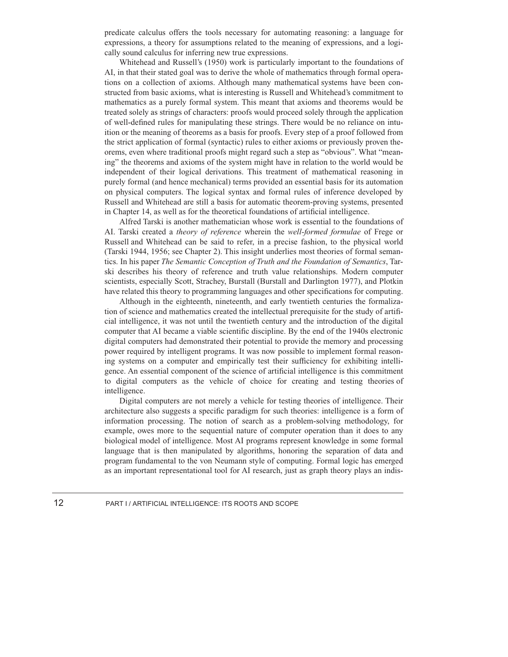predicate calculus offers the tools necessary for automating reasoning: a language for expressions, a theory for assumptions related to the meaning of expressions, and a logically sound calculus for inferring new true expressions.

Whitehead and Russell's (1950) work is particularly important to the foundations of AI, in that their stated goal was to derive the whole of mathematics through formal operations on a collection of axioms. Although many mathematical systems have been constructed from basic axioms, what is interesting is Russell and Whitehead's commitment to mathematics as a purely formal system. This meant that axioms and theorems would be treated solely as strings of characters: proofs would proceed solely through the application of well-defined rules for manipulating these strings. There would be no reliance on intuition or the meaning of theorems as a basis for proofs. Every step of a proof followed from the strict application of formal (syntactic) rules to either axioms or previously proven theorems, even where traditional proofs might regard such a step as "obvious". What "meaning" the theorems and axioms of the system might have in relation to the world would be independent of their logical derivations. This treatment of mathematical reasoning in purely formal (and hence mechanical) terms provided an essential basis for its automation on physical computers. The logical syntax and formal rules of inference developed by Russell and Whitehead are still a basis for automatic theorem-proving systems, presented in Chapter 14, as well as for the theoretical foundations of artificial intelligence.

Alfred Tarski is another mathematician whose work is essential to the foundations of AI. Tarski created a *theory of reference* wherein the *well-formed formulae* of Frege or Russell and Whitehead can be said to refer, in a precise fashion, to the physical world (Tarski 1944, 1956; see Chapter 2). This insight underlies most theories of formal semantics. In his paper *The Semantic Conception of Truth and the Foundation of Semantics*, Tarski describes his theory of reference and truth value relationships. Modern computer scientists, especially Scott, Strachey, Burstall (Burstall and Darlington 1977), and Plotkin have related this theory to programming languages and other specifications for computing.

Although in the eighteenth, nineteenth, and early twentieth centuries the formalization of science and mathematics created the intellectual prerequisite for the study of artificial intelligence, it was not until the twentieth century and the introduction of the digital computer that AI became a viable scientific discipline. By the end of the 1940s electronic digital computers had demonstrated their potential to provide the memory and processing power required by intelligent programs. It was now possible to implement formal reasoning systems on a computer and empirically test their sufficiency for exhibiting intelligence. An essential component of the science of artificial intelligence is this commitment to digital computers as the vehicle of choice for creating and testing theories of intelligence.

Digital computers are not merely a vehicle for testing theories of intelligence. Their architecture also suggests a specific paradigm for such theories: intelligence is a form of information processing. The notion of search as a problem-solving methodology, for example, owes more to the sequential nature of computer operation than it does to any biological model of intelligence. Most AI programs represent knowledge in some formal language that is then manipulated by algorithms, honoring the separation of data and program fundamental to the von Neumann style of computing. Formal logic has emerged as an important representational tool for AI research, just as graph theory plays an indis-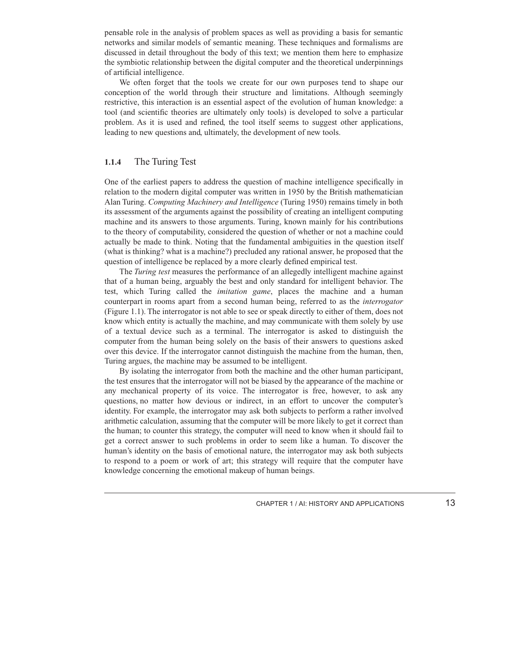pensable role in the analysis of problem spaces as well as providing a basis for semantic networks and similar models of semantic meaning. These techniques and formalisms are discussed in detail throughout the body of this text; we mention them here to emphasize the symbiotic relationship between the digital computer and the theoretical underpinnings of artificial intelligence.

We often forget that the tools we create for our own purposes tend to shape our conception of the world through their structure and limitations. Although seemingly restrictive, this interaction is an essential aspect of the evolution of human knowledge: a tool (and scientific theories are ultimately only tools) is developed to solve a particular problem. As it is used and refined, the tool itself seems to suggest other applications, leading to new questions and, ultimately, the development of new tools.

#### **1.1.4** The Turing Test

One of the earliest papers to address the question of machine intelligence specifically in relation to the modern digital computer was written in 1950 by the British mathematician Alan Turing. *Computing Machinery and Intelligence* (Turing 1950) remains timely in both its assessment of the arguments against the possibility of creating an intelligent computing machine and its answers to those arguments. Turing, known mainly for his contributions to the theory of computability, considered the question of whether or not a machine could actually be made to think. Noting that the fundamental ambiguities in the question itself (what is thinking? what is a machine?) precluded any rational answer, he proposed that the question of intelligence be replaced by a more clearly defined empirical test.

The *Turing test* measures the performance of an allegedly intelligent machine against that of a human being, arguably the best and only standard for intelligent behavior. The test, which Turing called the *imitation game*, places the machine and a human counterpart in rooms apart from a second human being, referred to as the *interrogator* (Figure 1.1). The interrogator is not able to see or speak directly to either of them, does not know which entity is actually the machine, and may communicate with them solely by use of a textual device such as a terminal. The interrogator is asked to distinguish the computer from the human being solely on the basis of their answers to questions asked over this device. If the interrogator cannot distinguish the machine from the human, then, Turing argues, the machine may be assumed to be intelligent.

By isolating the interrogator from both the machine and the other human participant, the test ensures that the interrogator will not be biased by the appearance of the machine or any mechanical property of its voice. The interrogator is free, however, to ask any questions, no matter how devious or indirect, in an effort to uncover the computer's identity. For example, the interrogator may ask both subjects to perform a rather involved arithmetic calculation, assuming that the computer will be more likely to get it correct than the human; to counter this strategy, the computer will need to know when it should fail to get a correct answer to such problems in order to seem like a human. To discover the human's identity on the basis of emotional nature, the interrogator may ask both subjects to respond to a poem or work of art; this strategy will require that the computer have knowledge concerning the emotional makeup of human beings.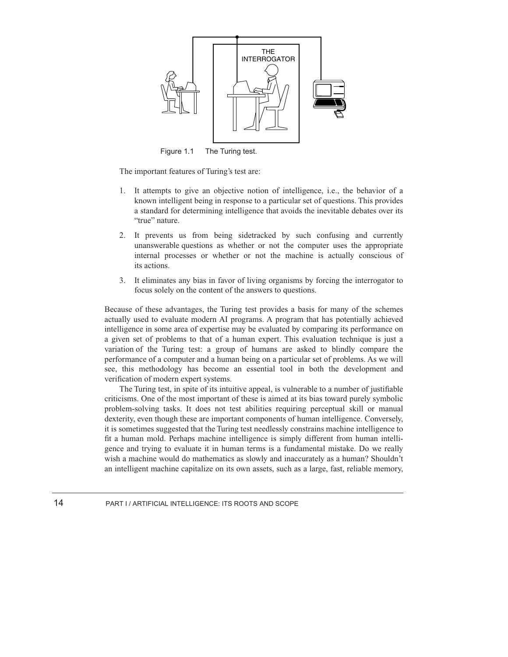

Figure 1.1 The Turing test.

The important features of Turing's test are:

- 1. It attempts to give an objective notion of intelligence, i.e., the behavior of a known intelligent being in response to a particular set of questions. This provides a standard for determining intelligence that avoids the inevitable debates over its "true" nature.
- 2. It prevents us from being sidetracked by such confusing and currently unanswerable questions as whether or not the computer uses the appropriate internal processes or whether or not the machine is actually conscious of its actions.
- 3. It eliminates any bias in favor of living organisms by forcing the interrogator to focus solely on the content of the answers to questions.

Because of these advantages, the Turing test provides a basis for many of the schemes actually used to evaluate modern AI programs. A program that has potentially achieved intelligence in some area of expertise may be evaluated by comparing its performance on a given set of problems to that of a human expert. This evaluation technique is just a variation of the Turing test: a group of humans are asked to blindly compare the performance of a computer and a human being on a particular set of problems. As we will see, this methodology has become an essential tool in both the development and verification of modern expert systems.

The Turing test, in spite of its intuitive appeal, is vulnerable to a number of justifiable criticisms. One of the most important of these is aimed at its bias toward purely symbolic problem-solving tasks. It does not test abilities requiring perceptual skill or manual dexterity, even though these are important components of human intelligence. Conversely, it is sometimes suggested that the Turing test needlessly constrains machine intelligence to fit a human mold. Perhaps machine intelligence is simply different from human intelligence and trying to evaluate it in human terms is a fundamental mistake. Do we really wish a machine would do mathematics as slowly and inaccurately as a human? Shouldn't an intelligent machine capitalize on its own assets, such as a large, fast, reliable memory,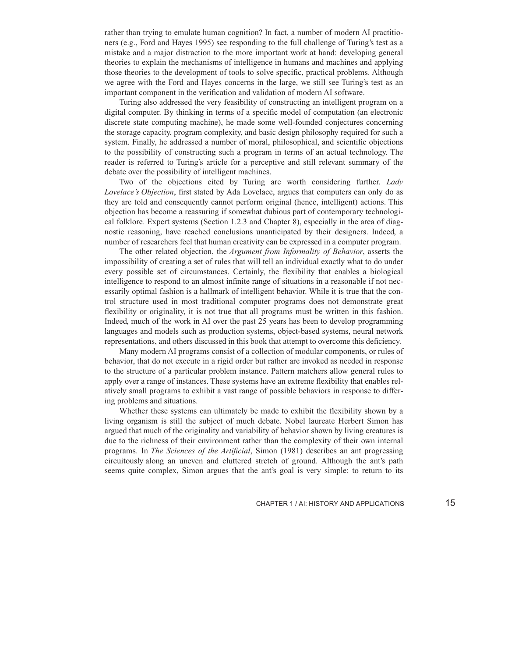rather than trying to emulate human cognition? In fact, a number of modern AI practitioners (e.g., Ford and Hayes 1995) see responding to the full challenge of Turing's test as a mistake and a major distraction to the more important work at hand: developing general theories to explain the mechanisms of intelligence in humans and machines and applying those theories to the development of tools to solve specific, practical problems. Although we agree with the Ford and Hayes concerns in the large, we still see Turing's test as an important component in the verification and validation of modern AI software.

Turing also addressed the very feasibility of constructing an intelligent program on a digital computer. By thinking in terms of a specific model of computation (an electronic discrete state computing machine), he made some well-founded conjectures concerning the storage capacity, program complexity, and basic design philosophy required for such a system. Finally, he addressed a number of moral, philosophical, and scientific objections to the possibility of constructing such a program in terms of an actual technology. The reader is referred to Turing's article for a perceptive and still relevant summary of the debate over the possibility of intelligent machines.

Two of the objections cited by Turing are worth considering further. *Lady Lovelace's Objection*, first stated by Ada Lovelace, argues that computers can only do as they are told and consequently cannot perform original (hence, intelligent) actions. This objection has become a reassuring if somewhat dubious part of contemporary technological folklore. Expert systems (Section 1.2.3 and Chapter 8), especially in the area of diagnostic reasoning, have reached conclusions unanticipated by their designers. Indeed, a number of researchers feel that human creativity can be expressed in a computer program.

The other related objection, the *Argument from Informality of Behavior*, asserts the impossibility of creating a set of rules that will tell an individual exactly what to do under every possible set of circumstances. Certainly, the flexibility that enables a biological intelligence to respond to an almost infinite range of situations in a reasonable if not necessarily optimal fashion is a hallmark of intelligent behavior. While it is true that the control structure used in most traditional computer programs does not demonstrate great flexibility or originality, it is not true that all programs must be written in this fashion. Indeed, much of the work in AI over the past 25 years has been to develop programming languages and models such as production systems, object-based systems, neural network representations, and others discussed in this book that attempt to overcome this deficiency.

Many modern AI programs consist of a collection of modular components, or rules of behavior, that do not execute in a rigid order but rather are invoked as needed in response to the structure of a particular problem instance. Pattern matchers allow general rules to apply over a range of instances. These systems have an extreme flexibility that enables relatively small programs to exhibit a vast range of possible behaviors in response to differing problems and situations.

Whether these systems can ultimately be made to exhibit the flexibility shown by a living organism is still the subject of much debate. Nobel laureate Herbert Simon has argued that much of the originality and variability of behavior shown by living creatures is due to the richness of their environment rather than the complexity of their own internal programs. In *The Sciences of the Artificial*, Simon (1981) describes an ant progressing circuitously along an uneven and cluttered stretch of ground. Although the ant's path seems quite complex, Simon argues that the ant's goal is very simple: to return to its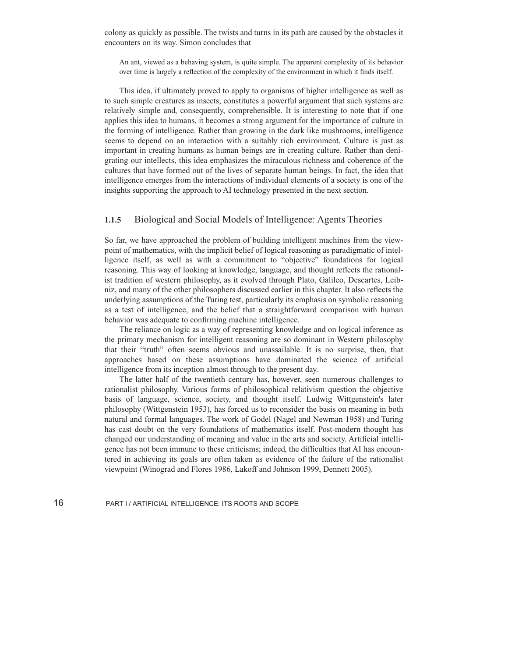colony as quickly as possible. The twists and turns in its path are caused by the obstacles it encounters on its way. Simon concludes that

An ant, viewed as a behaving system, is quite simple. The apparent complexity of its behavior over time is largely a reflection of the complexity of the environment in which it finds itself.

This idea, if ultimately proved to apply to organisms of higher intelligence as well as to such simple creatures as insects, constitutes a powerful argument that such systems are relatively simple and, consequently, comprehensible. It is interesting to note that if one applies this idea to humans, it becomes a strong argument for the importance of culture in the forming of intelligence. Rather than growing in the dark like mushrooms, intelligence seems to depend on an interaction with a suitably rich environment. Culture is just as important in creating humans as human beings are in creating culture. Rather than denigrating our intellects, this idea emphasizes the miraculous richness and coherence of the cultures that have formed out of the lives of separate human beings. In fact, the idea that intelligence emerges from the interactions of individual elements of a society is one of the insights supporting the approach to AI technology presented in the next section.

#### **1.1.5** Biological and Social Models of Intelligence: Agents Theories

So far, we have approached the problem of building intelligent machines from the viewpoint of mathematics, with the implicit belief of logical reasoning as paradigmatic of intelligence itself, as well as with a commitment to "objective" foundations for logical reasoning. This way of looking at knowledge, language, and thought reflects the rationalist tradition of western philosophy, as it evolved through Plato, Galileo, Descartes, Leibniz, and many of the other philosophers discussed earlier in this chapter. It also reflects the underlying assumptions of the Turing test, particularly its emphasis on symbolic reasoning as a test of intelligence, and the belief that a straightforward comparison with human behavior was adequate to confirming machine intelligence.

The reliance on logic as a way of representing knowledge and on logical inference as the primary mechanism for intelligent reasoning are so dominant in Western philosophy that their "truth" often seems obvious and unassailable. It is no surprise, then, that approaches based on these assumptions have dominated the science of artificial intelligence from its inception almost through to the present day.

The latter half of the twentieth century has, however, seen numerous challenges to rationalist philosophy. Various forms of philosophical relativism question the objective basis of language, science, society, and thought itself. Ludwig Wittgenstein's later philosophy (Wittgenstein 1953), has forced us to reconsider the basis on meaning in both natural and formal languages. The work of Godel (Nagel and Newman 1958) and Turing has cast doubt on the very foundations of mathematics itself. Post-modern thought has changed our understanding of meaning and value in the arts and society. Artificial intelligence has not been immune to these criticisms; indeed, the difficulties that AI has encountered in achieving its goals are often taken as evidence of the failure of the rationalist viewpoint (Winograd and Flores 1986, Lakoff and Johnson 1999, Dennett 2005).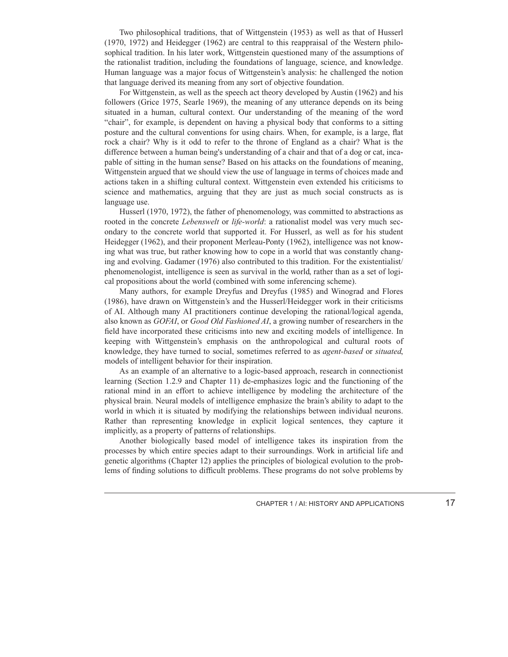Two philosophical traditions, that of Wittgenstein (1953) as well as that of Husserl (1970, 1972) and Heidegger (1962) are central to this reappraisal of the Western philosophical tradition. In his later work, Wittgenstein questioned many of the assumptions of the rationalist tradition, including the foundations of language, science, and knowledge. Human language was a major focus of Wittgenstein's analysis: he challenged the notion that language derived its meaning from any sort of objective foundation.

For Wittgenstein, as well as the speech act theory developed by Austin (1962) and his followers (Grice 1975, Searle 1969), the meaning of any utterance depends on its being situated in a human, cultural context. Our understanding of the meaning of the word "chair", for example, is dependent on having a physical body that conforms to a sitting posture and the cultural conventions for using chairs. When, for example, is a large, flat rock a chair? Why is it odd to refer to the throne of England as a chair? What is the difference between a human being's understanding of a chair and that of a dog or cat, incapable of sitting in the human sense? Based on his attacks on the foundations of meaning, Wittgenstein argued that we should view the use of language in terms of choices made and actions taken in a shifting cultural context. Wittgenstein even extended his criticisms to science and mathematics, arguing that they are just as much social constructs as is language use.

Husserl (1970, 1972), the father of phenomenology, was committed to abstractions as rooted in the concrete *Lebenswelt* or *life-world*: a rationalist model was very much secondary to the concrete world that supported it. For Husserl, as well as for his student Heidegger (1962), and their proponent Merleau-Ponty (1962), intelligence was not knowing what was true, but rather knowing how to cope in a world that was constantly changing and evolving. Gadamer (1976) also contributed to this tradition. For the existentialist/ phenomenologist, intelligence is seen as survival in the world, rather than as a set of logical propositions about the world (combined with some inferencing scheme).

Many authors, for example Dreyfus and Dreyfus (1985) and Winograd and Flores (1986), have drawn on Wittgenstein's and the Husserl/Heidegger work in their criticisms of AI. Although many AI practitioners continue developing the rational/logical agenda, also known as *GOFAI*, or *Good Old Fashioned AI*, a growing number of researchers in the field have incorporated these criticisms into new and exciting models of intelligence. In keeping with Wittgenstein's emphasis on the anthropological and cultural roots of knowledge, they have turned to social, sometimes referred to as *agent-based* or *situated*, models of intelligent behavior for their inspiration.

As an example of an alternative to a logic-based approach, research in connectionist learning (Section 1.2.9 and Chapter 11) de-emphasizes logic and the functioning of the rational mind in an effort to achieve intelligence by modeling the architecture of the physical brain. Neural models of intelligence emphasize the brain's ability to adapt to the world in which it is situated by modifying the relationships between individual neurons. Rather than representing knowledge in explicit logical sentences, they capture it implicitly, as a property of patterns of relationships.

Another biologically based model of intelligence takes its inspiration from the processes by which entire species adapt to their surroundings. Work in artificial life and genetic algorithms (Chapter 12) applies the principles of biological evolution to the problems of finding solutions to difficult problems. These programs do not solve problems by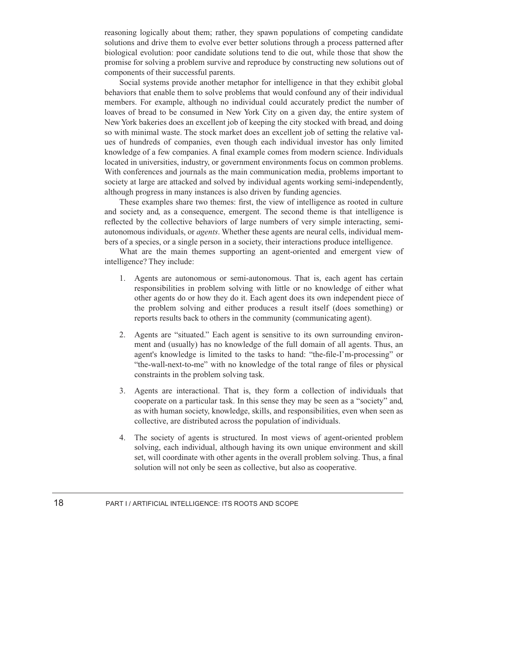reasoning logically about them; rather, they spawn populations of competing candidate solutions and drive them to evolve ever better solutions through a process patterned after biological evolution: poor candidate solutions tend to die out, while those that show the promise for solving a problem survive and reproduce by constructing new solutions out of components of their successful parents.

Social systems provide another metaphor for intelligence in that they exhibit global behaviors that enable them to solve problems that would confound any of their individual members. For example, although no individual could accurately predict the number of loaves of bread to be consumed in New York City on a given day, the entire system of New York bakeries does an excellent job of keeping the city stocked with bread, and doing so with minimal waste. The stock market does an excellent job of setting the relative values of hundreds of companies, even though each individual investor has only limited knowledge of a few companies. A final example comes from modern science. Individuals located in universities, industry, or government environments focus on common problems. With conferences and journals as the main communication media, problems important to society at large are attacked and solved by individual agents working semi-independently, although progress in many instances is also driven by funding agencies.

These examples share two themes: first, the view of intelligence as rooted in culture and society and, as a consequence, emergent. The second theme is that intelligence is reflected by the collective behaviors of large numbers of very simple interacting, semiautonomous individuals, or *agents*. Whether these agents are neural cells, individual members of a species, or a single person in a society, their interactions produce intelligence.

What are the main themes supporting an agent-oriented and emergent view of intelligence? They include:

- 1. Agents are autonomous or semi-autonomous. That is, each agent has certain responsibilities in problem solving with little or no knowledge of either what other agents do or how they do it. Each agent does its own independent piece of the problem solving and either produces a result itself (does something) or reports results back to others in the community (communicating agent).
- 2. Agents are "situated." Each agent is sensitive to its own surrounding environment and (usually) has no knowledge of the full domain of all agents. Thus, an agent's knowledge is limited to the tasks to hand: "the-file-I'm-processing" or "the-wall-next-to-me" with no knowledge of the total range of files or physical constraints in the problem solving task.
- 3. Agents are interactional. That is, they form a collection of individuals that cooperate on a particular task. In this sense they may be seen as a "society" and, as with human society, knowledge, skills, and responsibilities, even when seen as collective, are distributed across the population of individuals.
- 4. The society of agents is structured. In most views of agent-oriented problem solving, each individual, although having its own unique environment and skill set, will coordinate with other agents in the overall problem solving. Thus, a final solution will not only be seen as collective, but also as cooperative.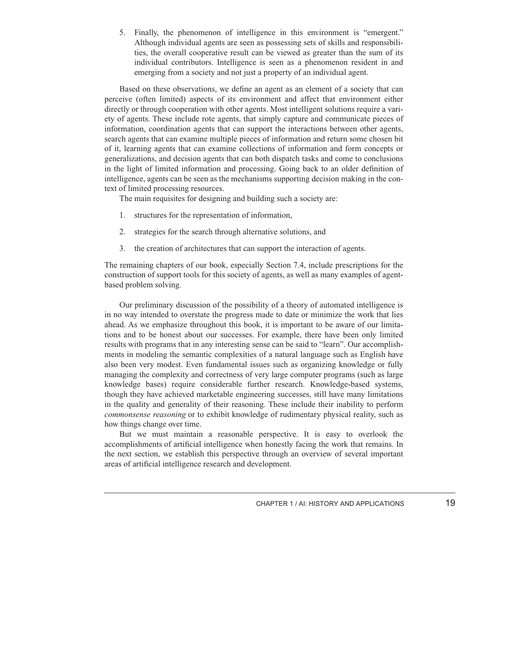5. Finally, the phenomenon of intelligence in this environment is "emergent." Although individual agents are seen as possessing sets of skills and responsibilities, the overall cooperative result can be viewed as greater than the sum of its individual contributors. Intelligence is seen as a phenomenon resident in and emerging from a society and not just a property of an individual agent.

Based on these observations, we define an agent as an element of a society that can perceive (often limited) aspects of its environment and affect that environment either directly or through cooperation with other agents. Most intelligent solutions require a variety of agents. These include rote agents, that simply capture and communicate pieces of information, coordination agents that can support the interactions between other agents, search agents that can examine multiple pieces of information and return some chosen bit of it, learning agents that can examine collections of information and form concepts or generalizations, and decision agents that can both dispatch tasks and come to conclusions in the light of limited information and processing. Going back to an older definition of intelligence, agents can be seen as the mechanisms supporting decision making in the context of limited processing resources.

The main requisites for designing and building such a society are:

- 1. structures for the representation of information,
- 2. strategies for the search through alternative solutions, and
- 3. the creation of architectures that can support the interaction of agents.

The remaining chapters of our book, especially Section 7.4, include prescriptions for the construction of support tools for this society of agents, as well as many examples of agentbased problem solving.

Our preliminary discussion of the possibility of a theory of automated intelligence is in no way intended to overstate the progress made to date or minimize the work that lies ahead. As we emphasize throughout this book, it is important to be aware of our limitations and to be honest about our successes. For example, there have been only limited results with programs that in any interesting sense can be said to "learn". Our accomplishments in modeling the semantic complexities of a natural language such as English have also been very modest. Even fundamental issues such as organizing knowledge or fully managing the complexity and correctness of very large computer programs (such as large knowledge bases) require considerable further research. Knowledge-based systems, though they have achieved marketable engineering successes, still have many limitations in the quality and generality of their reasoning. These include their inability to perform *commonsense reasoning* or to exhibit knowledge of rudimentary physical reality, such as how things change over time.

But we must maintain a reasonable perspective. It is easy to overlook the accomplishments of artificial intelligence when honestly facing the work that remains. In the next section, we establish this perspective through an overview of several important areas of artificial intelligence research and development.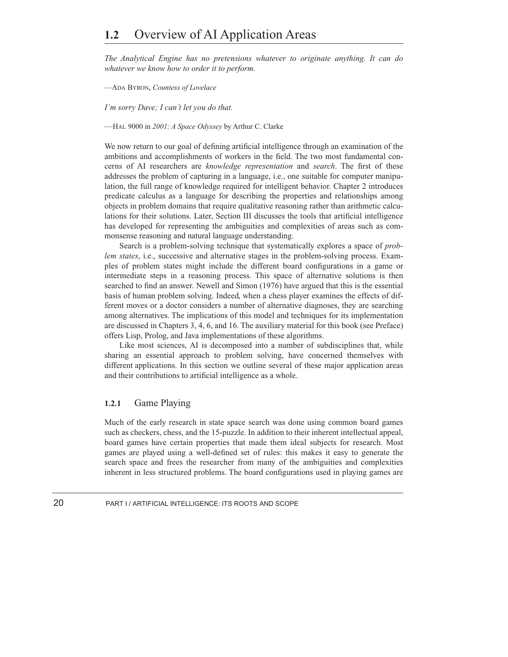## **1.2** Overview of AI Application Areas

*The Analytical Engine has no pretensions whatever to originate anything. It can do whatever we know how to order it to perform.* 

—ADA BYRON, *Countess of Lovelace*

*I'm sorry Dave; I can't let you do that.* 

—HAL 9000 in *2001: A Space Odyssey* by Arthur C. Clarke

We now return to our goal of defining artificial intelligence through an examination of the ambitions and accomplishments of workers in the field. The two most fundamental concerns of AI researchers are *knowledge representation* and *search*. The first of these addresses the problem of capturing in a language, i.e., one suitable for computer manipulation, the full range of knowledge required for intelligent behavior. Chapter 2 introduces predicate calculus as a language for describing the properties and relationships among objects in problem domains that require qualitative reasoning rather than arithmetic calculations for their solutions. Later, Section III discusses the tools that artificial intelligence has developed for representing the ambiguities and complexities of areas such as commonsense reasoning and natural language understanding.

Search is a problem-solving technique that systematically explores a space of *problem states*, *i.e.*, successive and alternative stages in the problem-solving process. Examples of problem states might include the different board configurations in a game or intermediate steps in a reasoning process. This space of alternative solutions is then searched to find an answer. Newell and Simon (1976) have argued that this is the essential basis of human problem solving. Indeed, when a chess player examines the effects of different moves or a doctor considers a number of alternative diagnoses, they are searching among alternatives. The implications of this model and techniques for its implementation are discussed in Chapters 3, 4, 6, and 16. The auxiliary material for this book (see Preface) offers Lisp, Prolog, and Java implementations of these algorithms.

Like most sciences, AI is decomposed into a number of subdisciplines that, while sharing an essential approach to problem solving, have concerned themselves with different applications. In this section we outline several of these major application areas and their contributions to artificial intelligence as a whole.

#### **1.2.1** Game Playing

Much of the early research in state space search was done using common board games such as checkers, chess, and the 15-puzzle. In addition to their inherent intellectual appeal, board games have certain properties that made them ideal subjects for research. Most games are played using a well-defined set of rules: this makes it easy to generate the search space and frees the researcher from many of the ambiguities and complexities inherent in less structured problems. The board configurations used in playing games are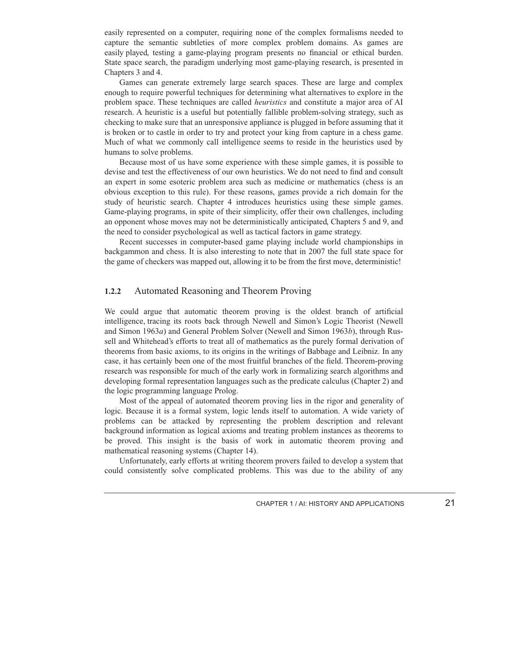easily represented on a computer, requiring none of the complex formalisms needed to capture the semantic subtleties of more complex problem domains. As games are easily played, testing a game-playing program presents no financial or ethical burden. State space search, the paradigm underlying most game-playing research, is presented in Chapters 3 and 4.

Games can generate extremely large search spaces. These are large and complex enough to require powerful techniques for determining what alternatives to explore in the problem space. These techniques are called *heuristics* and constitute a major area of AI research. A heuristic is a useful but potentially fallible problem-solving strategy, such as checking to make sure that an unresponsive appliance is plugged in before assuming that it is broken or to castle in order to try and protect your king from capture in a chess game. Much of what we commonly call intelligence seems to reside in the heuristics used by humans to solve problems.

Because most of us have some experience with these simple games, it is possible to devise and test the effectiveness of our own heuristics. We do not need to find and consult an expert in some esoteric problem area such as medicine or mathematics (chess is an obvious exception to this rule). For these reasons, games provide a rich domain for the study of heuristic search. Chapter 4 introduces heuristics using these simple games. Game-playing programs, in spite of their simplicity, offer their own challenges, including an opponent whose moves may not be deterministically anticipated, Chapters 5 and 9, and the need to consider psychological as well as tactical factors in game strategy.

Recent successes in computer-based game playing include world championships in backgammon and chess. It is also interesting to note that in 2007 the full state space for the game of checkers was mapped out, allowing it to be from the first move, deterministic!

#### **1.2.2** Automated Reasoning and Theorem Proving

We could argue that automatic theorem proving is the oldest branch of artificial intelligence, tracing its roots back through Newell and Simon's Logic Theorist (Newell and Simon 1963*a*) and General Problem Solver (Newell and Simon 1963*b*), through Russell and Whitehead's efforts to treat all of mathematics as the purely formal derivation of theorems from basic axioms, to its origins in the writings of Babbage and Leibniz. In any case, it has certainly been one of the most fruitful branches of the field. Theorem-proving research was responsible for much of the early work in formalizing search algorithms and developing formal representation languages such as the predicate calculus (Chapter 2) and the logic programming language Prolog.

Most of the appeal of automated theorem proving lies in the rigor and generality of logic. Because it is a formal system, logic lends itself to automation. A wide variety of problems can be attacked by representing the problem description and relevant background information as logical axioms and treating problem instances as theorems to be proved. This insight is the basis of work in automatic theorem proving and mathematical reasoning systems (Chapter 14).

Unfortunately, early efforts at writing theorem provers failed to develop a system that could consistently solve complicated problems. This was due to the ability of any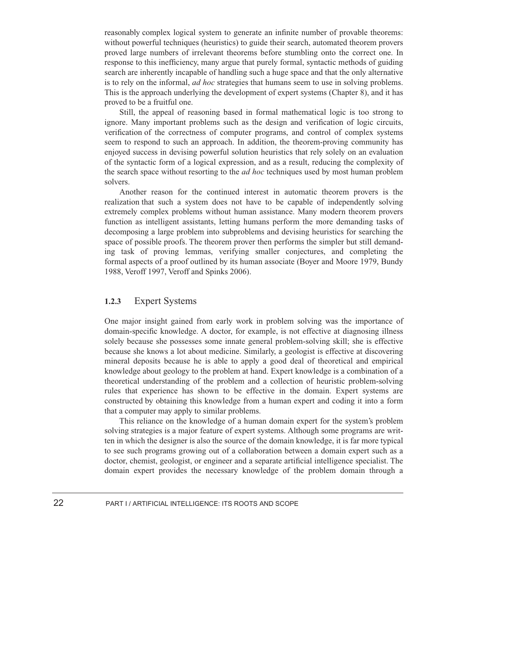reasonably complex logical system to generate an infinite number of provable theorems: without powerful techniques (heuristics) to guide their search, automated theorem provers proved large numbers of irrelevant theorems before stumbling onto the correct one. In response to this inefficiency, many argue that purely formal, syntactic methods of guiding search are inherently incapable of handling such a huge space and that the only alternative is to rely on the informal, *ad hoc* strategies that humans seem to use in solving problems. This is the approach underlying the development of expert systems (Chapter 8), and it has proved to be a fruitful one.

Still, the appeal of reasoning based in formal mathematical logic is too strong to ignore. Many important problems such as the design and verification of logic circuits, verification of the correctness of computer programs, and control of complex systems seem to respond to such an approach. In addition, the theorem-proving community has enjoyed success in devising powerful solution heuristics that rely solely on an evaluation of the syntactic form of a logical expression, and as a result, reducing the complexity of the search space without resorting to the *ad hoc* techniques used by most human problem solvers.

Another reason for the continued interest in automatic theorem provers is the realization that such a system does not have to be capable of independently solving extremely complex problems without human assistance. Many modern theorem provers function as intelligent assistants, letting humans perform the more demanding tasks of decomposing a large problem into subproblems and devising heuristics for searching the space of possible proofs. The theorem prover then performs the simpler but still demanding task of proving lemmas, verifying smaller conjectures, and completing the formal aspects of a proof outlined by its human associate (Boyer and Moore 1979, Bundy 1988, Veroff 1997, Veroff and Spinks 2006).

#### **1.2.3** Expert Systems

One major insight gained from early work in problem solving was the importance of domain-specific knowledge. A doctor, for example, is not effective at diagnosing illness solely because she possesses some innate general problem-solving skill; she is effective because she knows a lot about medicine. Similarly, a geologist is effective at discovering mineral deposits because he is able to apply a good deal of theoretical and empirical knowledge about geology to the problem at hand. Expert knowledge is a combination of a theoretical understanding of the problem and a collection of heuristic problem-solving rules that experience has shown to be effective in the domain. Expert systems are constructed by obtaining this knowledge from a human expert and coding it into a form that a computer may apply to similar problems.

This reliance on the knowledge of a human domain expert for the system's problem solving strategies is a major feature of expert systems. Although some programs are written in which the designer is also the source of the domain knowledge, it is far more typical to see such programs growing out of a collaboration between a domain expert such as a doctor, chemist, geologist, or engineer and a separate artificial intelligence specialist. The domain expert provides the necessary knowledge of the problem domain through a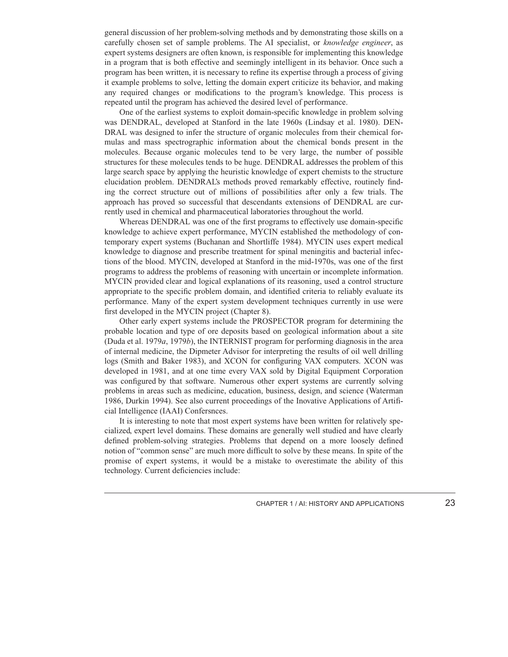general discussion of her problem-solving methods and by demonstrating those skills on a carefully chosen set of sample problems. The AI specialist, or *knowledge engineer*, as expert systems designers are often known, is responsible for implementing this knowledge in a program that is both effective and seemingly intelligent in its behavior. Once such a program has been written, it is necessary to refine its expertise through a process of giving it example problems to solve, letting the domain expert criticize its behavior, and making any required changes or modifications to the program's knowledge. This process is repeated until the program has achieved the desired level of performance.

One of the earliest systems to exploit domain-specific knowledge in problem solving was DENDRAL, developed at Stanford in the late 1960s (Lindsay et al. 1980). DEN-DRAL was designed to infer the structure of organic molecules from their chemical formulas and mass spectrographic information about the chemical bonds present in the molecules. Because organic molecules tend to be very large, the number of possible structures for these molecules tends to be huge. DENDRAL addresses the problem of this large search space by applying the heuristic knowledge of expert chemists to the structure elucidation problem. DENDRAL's methods proved remarkably effective, routinely finding the correct structure out of millions of possibilities after only a few trials. The approach has proved so successful that descendants extensions of DENDRAL are currently used in chemical and pharmaceutical laboratories throughout the world.

Whereas DENDRAL was one of the first programs to effectively use domain-specific knowledge to achieve expert performance, MYCIN established the methodology of contemporary expert systems (Buchanan and Shortliffe 1984). MYCIN uses expert medical knowledge to diagnose and prescribe treatment for spinal meningitis and bacterial infections of the blood. MYCIN, developed at Stanford in the mid-1970s, was one of the first programs to address the problems of reasoning with uncertain or incomplete information. MYCIN provided clear and logical explanations of its reasoning, used a control structure appropriate to the specific problem domain, and identified criteria to reliably evaluate its performance. Many of the expert system development techniques currently in use were first developed in the MYCIN project (Chapter 8).

Other early expert systems include the PROSPECTOR program for determining the probable location and type of ore deposits based on geological information about a site (Duda et al. 1979*a*, 1979*b*), the INTERNIST program for performing diagnosis in the area of internal medicine, the Dipmeter Advisor for interpreting the results of oil well drilling logs (Smith and Baker 1983), and XCON for configuring VAX computers. XCON was developed in 1981, and at one time every VAX sold by Digital Equipment Corporation was configured by that software. Numerous other expert systems are currently solving problems in areas such as medicine, education, business, design, and science (Waterman 1986, Durkin 1994). See also current proceedings of the Inovative Applications of Artificial Intelligence (IAAI) Confersnces.

It is interesting to note that most expert systems have been written for relatively specialized, expert level domains. These domains are generally well studied and have clearly defined problem-solving strategies. Problems that depend on a more loosely defined notion of "common sense" are much more difficult to solve by these means. In spite of the promise of expert systems, it would be a mistake to overestimate the ability of this technology. Current deficiencies include: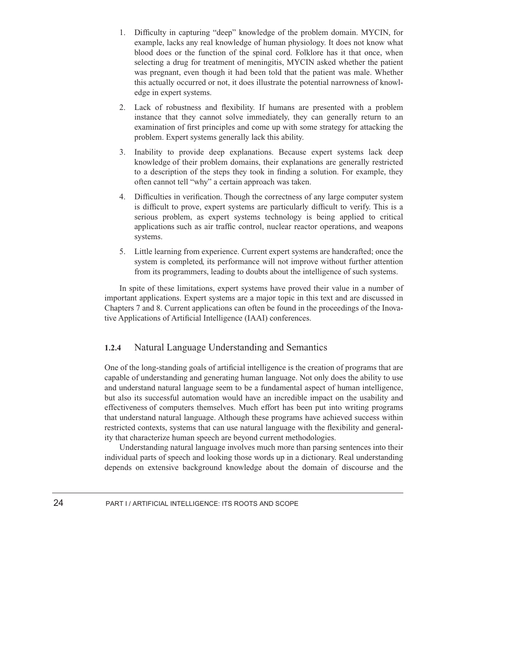- 1. Difficulty in capturing "deep" knowledge of the problem domain. MYCIN, for example, lacks any real knowledge of human physiology. It does not know what blood does or the function of the spinal cord. Folklore has it that once, when selecting a drug for treatment of meningitis, MYCIN asked whether the patient was pregnant, even though it had been told that the patient was male. Whether this actually occurred or not, it does illustrate the potential narrowness of knowledge in expert systems.
- 2. Lack of robustness and flexibility. If humans are presented with a problem instance that they cannot solve immediately, they can generally return to an examination of first principles and come up with some strategy for attacking the problem. Expert systems generally lack this ability.
- 3. Inability to provide deep explanations. Because expert systems lack deep knowledge of their problem domains, their explanations are generally restricted to a description of the steps they took in finding a solution. For example, they often cannot tell "why" a certain approach was taken.
- 4. Difficulties in verification. Though the correctness of any large computer system is difficult to prove, expert systems are particularly difficult to verify. This is a serious problem, as expert systems technology is being applied to critical applications such as air traffic control, nuclear reactor operations, and weapons systems.
- 5. Little learning from experience. Current expert systems are handcrafted; once the system is completed, its performance will not improve without further attention from its programmers, leading to doubts about the intelligence of such systems.

In spite of these limitations, expert systems have proved their value in a number of important applications. Expert systems are a major topic in this text and are discussed in Chapters 7 and 8. Current applications can often be found in the proceedings of the Inovative Applications of Artificial Intelligence (IAAI) conferences.

#### **1.2.4** Natural Language Understanding and Semantics

One of the long-standing goals of artificial intelligence is the creation of programs that are capable of understanding and generating human language. Not only does the ability to use and understand natural language seem to be a fundamental aspect of human intelligence, but also its successful automation would have an incredible impact on the usability and effectiveness of computers themselves. Much effort has been put into writing programs that understand natural language. Although these programs have achieved success within restricted contexts, systems that can use natural language with the flexibility and generality that characterize human speech are beyond current methodologies.

Understanding natural language involves much more than parsing sentences into their individual parts of speech and looking those words up in a dictionary. Real understanding depends on extensive background knowledge about the domain of discourse and the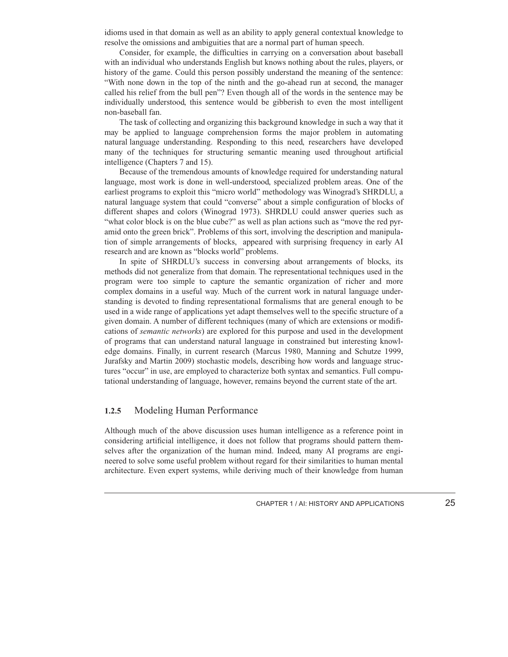idioms used in that domain as well as an ability to apply general contextual knowledge to resolve the omissions and ambiguities that are a normal part of human speech.

Consider, for example, the difficulties in carrying on a conversation about baseball with an individual who understands English but knows nothing about the rules, players, or history of the game. Could this person possibly understand the meaning of the sentence: "With none down in the top of the ninth and the go-ahead run at second, the manager called his relief from the bull pen"? Even though all of the words in the sentence may be individually understood, this sentence would be gibberish to even the most intelligent non-baseball fan.

The task of collecting and organizing this background knowledge in such a way that it may be applied to language comprehension forms the major problem in automating natural language understanding. Responding to this need, researchers have developed many of the techniques for structuring semantic meaning used throughout artificial intelligence (Chapters 7 and 15).

Because of the tremendous amounts of knowledge required for understanding natural language, most work is done in well-understood, specialized problem areas. One of the earliest programs to exploit this "micro world" methodology was Winograd's SHRDLU, a natural language system that could "converse" about a simple configuration of blocks of different shapes and colors (Winograd 1973). SHRDLU could answer queries such as "what color block is on the blue cube?" as well as plan actions such as "move the red pyramid onto the green brick". Problems of this sort, involving the description and manipulation of simple arrangements of blocks, appeared with surprising frequency in early AI research and are known as "blocks world" problems.

In spite of SHRDLU's success in conversing about arrangements of blocks, its methods did not generalize from that domain. The representational techniques used in the program were too simple to capture the semantic organization of richer and more complex domains in a useful way. Much of the current work in natural language understanding is devoted to finding representational formalisms that are general enough to be used in a wide range of applications yet adapt themselves well to the specific structure of a given domain. A number of different techniques (many of which are extensions or modifications of *semantic networks*) are explored for this purpose and used in the development of programs that can understand natural language in constrained but interesting knowledge domains. Finally, in current research (Marcus 1980, Manning and Schutze 1999, Jurafsky and Martin 2009) stochastic models, describing how words and language structures "occur" in use, are employed to characterize both syntax and semantics. Full computational understanding of language, however, remains beyond the current state of the art.

#### **1.2.5** Modeling Human Performance

Although much of the above discussion uses human intelligence as a reference point in considering artificial intelligence, it does not follow that programs should pattern themselves after the organization of the human mind. Indeed, many AI programs are engineered to solve some useful problem without regard for their similarities to human mental architecture. Even expert systems, while deriving much of their knowledge from human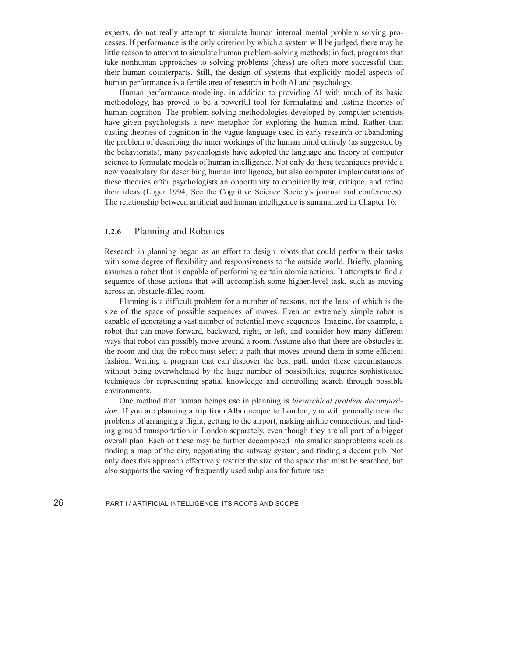experts, do not really attempt to simulate human internal mental problem solving processes. If performance is the only criterion by which a system will be judged, there may be little reason to attempt to simulate human problem-solving methods; in fact, programs that take nonhuman approaches to solving problems (chess) are often more successful than their human counterparts. Still, the design of systems that explicitly model aspects of human performance is a fertile area of research in both AI and psychology.

Human performance modeling, in addition to providing AI with much of its basic methodology, has proved to be a powerful tool for formulating and testing theories of human cognition. The problem-solving methodologies developed by computer scientists have given psychologists a new metaphor for exploring the human mind. Rather than casting theories of cognition in the vague language used in early research or abandoning the problem of describing the inner workings of the human mind entirely (as suggested by the behaviorists), many psychologists have adopted the language and theory of computer science to formulate models of human intelligence. Not only do these techniques provide a new vocabulary for describing human intelligence, but also computer implementations of these theories offer psychologists an opportunity to empirically test, critique, and refine their ideas (Luger 1994; See the Cognitive Science Society's journal and conferences). The relationship between artificial and human intelligence is summarized in Chapter 16.

#### **1.2.6** Planning and Robotics

Research in planning began as an effort to design robots that could perform their tasks with some degree of flexibility and responsiveness to the outside world. Briefly, planning assumes a robot that is capable of performing certain atomic actions. It attempts to find a sequence of those actions that will accomplish some higher-level task, such as moving across an obstacle-filled room.

Planning is a difficult problem for a number of reasons, not the least of which is the size of the space of possible sequences of moves. Even an extremely simple robot is capable of generating a vast number of potential move sequences. Imagine, for example, a robot that can move forward, backward, right, or left, and consider how many different ways that robot can possibly move around a room. Assume also that there are obstacles in the room and that the robot must select a path that moves around them in some efficient fashion. Writing a program that can discover the best path under these circumstances, without being overwhelmed by the huge number of possibilities, requires sophisticated techniques for representing spatial knowledge and controlling search through possible environments.

One method that human beings use in planning is *hierarchical problem decomposition*. If you are planning a trip from Albuquerque to London, you will generally treat the problems of arranging a flight, getting to the airport, making airline connections, and finding ground transportation in London separately, even though they are all part of a bigger overall plan. Each of these may be further decomposed into smaller subproblems such as finding a map of the city, negotiating the subway system, and finding a decent pub. Not only does this approach effectively restrict the size of the space that must be searched, but also supports the saving of frequently used subplans for future use.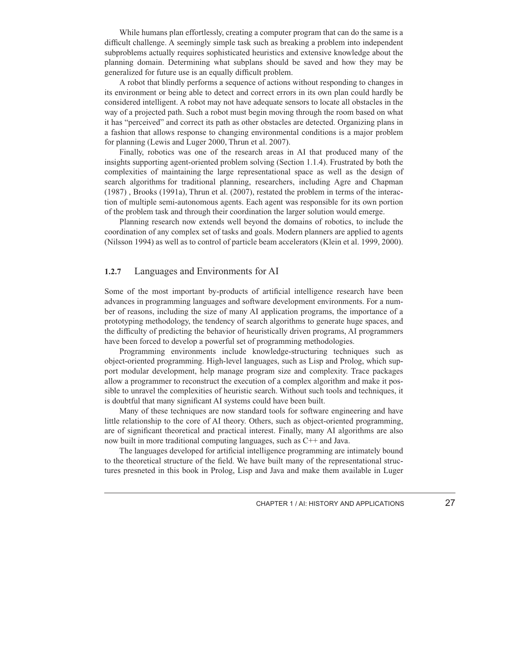While humans plan effortlessly, creating a computer program that can do the same is a difficult challenge. A seemingly simple task such as breaking a problem into independent subproblems actually requires sophisticated heuristics and extensive knowledge about the planning domain. Determining what subplans should be saved and how they may be generalized for future use is an equally difficult problem.

A robot that blindly performs a sequence of actions without responding to changes in its environment or being able to detect and correct errors in its own plan could hardly be considered intelligent. A robot may not have adequate sensors to locate all obstacles in the way of a projected path. Such a robot must begin moving through the room based on what it has "perceived" and correct its path as other obstacles are detected. Organizing plans in a fashion that allows response to changing environmental conditions is a major problem for planning (Lewis and Luger 2000, Thrun et al. 2007).

Finally, robotics was one of the research areas in AI that produced many of the insights supporting agent-oriented problem solving (Section 1.1.4). Frustrated by both the complexities of maintaining the large representational space as well as the design of search algorithms for traditional planning, researchers, including Agre and Chapman (1987) , Brooks (1991a), Thrun et al. (2007), restated the problem in terms of the interaction of multiple semi-autonomous agents. Each agent was responsible for its own portion of the problem task and through their coordination the larger solution would emerge.

Planning research now extends well beyond the domains of robotics, to include the coordination of any complex set of tasks and goals. Modern planners are applied to agents (Nilsson 1994) as well as to control of particle beam accelerators (Klein et al. 1999, 2000).

#### **1.2.7** Languages and Environments for AI

Some of the most important by-products of artificial intelligence research have been advances in programming languages and software development environments. For a number of reasons, including the size of many AI application programs, the importance of a prototyping methodology, the tendency of search algorithms to generate huge spaces, and the difficulty of predicting the behavior of heuristically driven programs, AI programmers have been forced to develop a powerful set of programming methodologies.

Programming environments include knowledge-structuring techniques such as object-oriented programming. High-level languages, such as Lisp and Prolog, which support modular development, help manage program size and complexity. Trace packages allow a programmer to reconstruct the execution of a complex algorithm and make it possible to unravel the complexities of heuristic search. Without such tools and techniques, it is doubtful that many significant AI systems could have been built.

Many of these techniques are now standard tools for software engineering and have little relationship to the core of AI theory. Others, such as object-oriented programming, are of significant theoretical and practical interest. Finally, many AI algorithms are also now built in more traditional computing languages, such as C++ and Java.

The languages developed for artificial intelligence programming are intimately bound to the theoretical structure of the field. We have built many of the representational structures presneted in this book in Prolog, Lisp and Java and make them available in Luger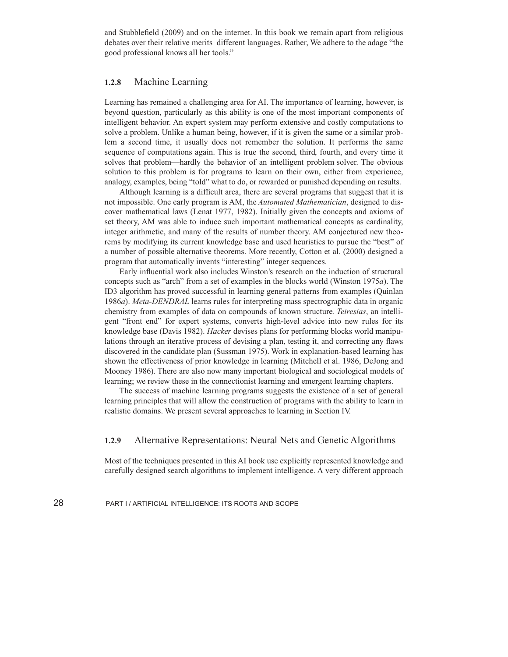and Stubblefield (2009) and on the internet. In this book we remain apart from religious debates over their relative merits different languages. Rather, We adhere to the adage "the good professional knows all her tools."

#### **1.2.8** Machine Learning

Learning has remained a challenging area for AI. The importance of learning, however, is beyond question, particularly as this ability is one of the most important components of intelligent behavior. An expert system may perform extensive and costly computations to solve a problem. Unlike a human being, however, if it is given the same or a similar problem a second time, it usually does not remember the solution. It performs the same sequence of computations again. This is true the second, third, fourth, and every time it solves that problem—hardly the behavior of an intelligent problem solver. The obvious solution to this problem is for programs to learn on their own, either from experience, analogy, examples, being "told" what to do, or rewarded or punished depending on results.

Although learning is a difficult area, there are several programs that suggest that it is not impossible. One early program is AM, the *Automated Mathematician*, designed to discover mathematical laws (Lenat 1977, 1982). Initially given the concepts and axioms of set theory, AM was able to induce such important mathematical concepts as cardinality, integer arithmetic, and many of the results of number theory. AM conjectured new theorems by modifying its current knowledge base and used heuristics to pursue the "best" of a number of possible alternative theorems. More recently, Cotton et al. (2000) designed a program that automatically invents "interesting" integer sequences.

Early influential work also includes Winston's research on the induction of structural concepts such as "arch" from a set of examples in the blocks world (Winston 1975*a*). The ID3 algorithm has proved successful in learning general patterns from examples (Quinlan 1986*a*). *Meta-DENDRAL* learns rules for interpreting mass spectrographic data in organic chemistry from examples of data on compounds of known structure. *Teiresias*, an intelligent "front end" for expert systems, converts high-level advice into new rules for its knowledge base (Davis 1982). *Hacker* devises plans for performing blocks world manipulations through an iterative process of devising a plan, testing it, and correcting any flaws discovered in the candidate plan (Sussman 1975). Work in explanation-based learning has shown the effectiveness of prior knowledge in learning (Mitchell et al. 1986, DeJong and Mooney 1986). There are also now many important biological and sociological models of learning; we review these in the connectionist learning and emergent learning chapters.

The success of machine learning programs suggests the existence of a set of general learning principles that will allow the construction of programs with the ability to learn in realistic domains. We present several approaches to learning in Section IV.

#### **1.2.9** Alternative Representations: Neural Nets and Genetic Algorithms

Most of the techniques presented in this AI book use explicitly represented knowledge and carefully designed search algorithms to implement intelligence. A very different approach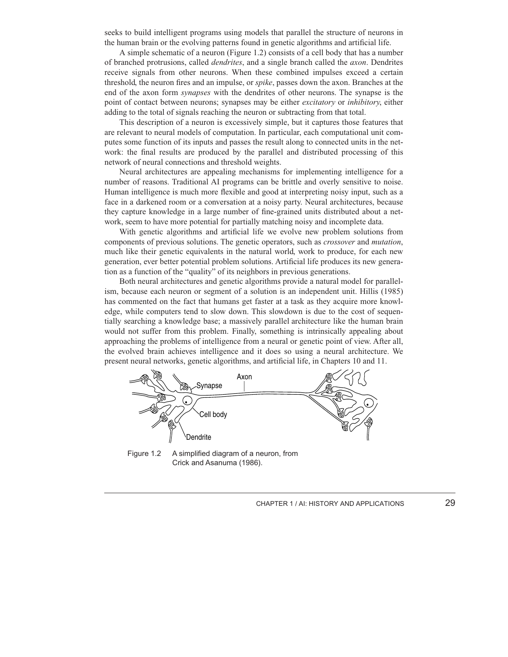seeks to build intelligent programs using models that parallel the structure of neurons in the human brain or the evolving patterns found in genetic algorithms and artificial life.

A simple schematic of a neuron (Figure 1.2) consists of a cell body that has a number of branched protrusions, called *dendrites*, and a single branch called the *axon*. Dendrites receive signals from other neurons. When these combined impulses exceed a certain threshold, the neuron fires and an impulse, or *spike*, passes down the axon. Branches at the end of the axon form *synapses* with the dendrites of other neurons. The synapse is the point of contact between neurons; synapses may be either *excitatory* or *inhibitory*, either adding to the total of signals reaching the neuron or subtracting from that total.

This description of a neuron is excessively simple, but it captures those features that are relevant to neural models of computation. In particular, each computational unit computes some function of its inputs and passes the result along to connected units in the network: the final results are produced by the parallel and distributed processing of this network of neural connections and threshold weights.

Neural architectures are appealing mechanisms for implementing intelligence for a number of reasons. Traditional AI programs can be brittle and overly sensitive to noise. Human intelligence is much more flexible and good at interpreting noisy input, such as a face in a darkened room or a conversation at a noisy party. Neural architectures, because they capture knowledge in a large number of fine-grained units distributed about a network, seem to have more potential for partially matching noisy and incomplete data.

With genetic algorithms and artificial life we evolve new problem solutions from components of previous solutions. The genetic operators, such as *crossover* and *mutation*, much like their genetic equivalents in the natural world, work to produce, for each new generation, ever better potential problem solutions. Artificial life produces its new generation as a function of the "quality" of its neighbors in previous generations.

Both neural architectures and genetic algorithms provide a natural model for parallelism, because each neuron or segment of a solution is an independent unit. Hillis (1985) has commented on the fact that humans get faster at a task as they acquire more knowledge, while computers tend to slow down. This slowdown is due to the cost of sequentially searching a knowledge base; a massively parallel architecture like the human brain would not suffer from this problem. Finally, something is intrinsically appealing about approaching the problems of intelligence from a neural or genetic point of view. After all, the evolved brain achieves intelligence and it does so using a neural architecture. We present neural networks, genetic algorithms, and artificial life, in Chapters 10 and 11.



Figure 1.2 A simplified diagram of a neuron, from Crick and Asanuma (1986).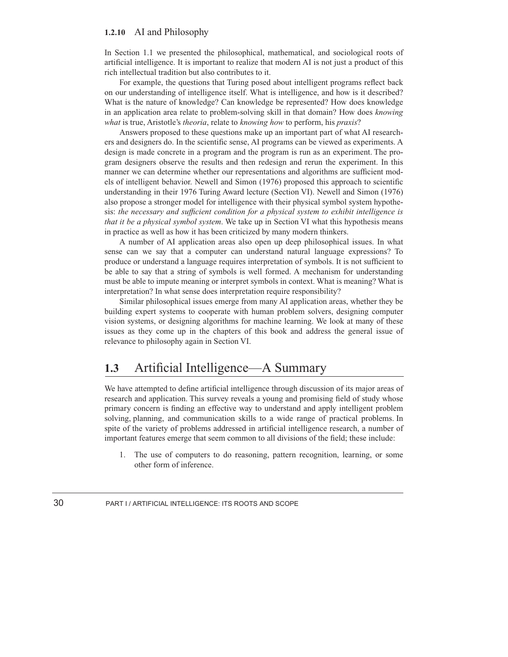#### **1.2.10** AI and Philosophy

In Section 1.1 we presented the philosophical, mathematical, and sociological roots of artificial intelligence. It is important to realize that modern AI is not just a product of this rich intellectual tradition but also contributes to it.

For example, the questions that Turing posed about intelligent programs reflect back on our understanding of intelligence itself. What is intelligence, and how is it described? What is the nature of knowledge? Can knowledge be represented? How does knowledge in an application area relate to problem-solving skill in that domain? How does *knowing what* is true, Aristotle's *theoria*, relate to *knowing how* to perform, his *praxis*?

Answers proposed to these questions make up an important part of what AI researchers and designers do. In the scientific sense, AI programs can be viewed as experiments. A design is made concrete in a program and the program is run as an experiment. The program designers observe the results and then redesign and rerun the experiment. In this manner we can determine whether our representations and algorithms are sufficient models of intelligent behavior. Newell and Simon (1976) proposed this approach to scientific understanding in their 1976 Turing Award lecture (Section VI). Newell and Simon (1976) also propose a stronger model for intelligence with their physical symbol system hypothesis: *the necessary and sufficient condition for a physical system to exhibit intelligence is that it be a physical symbol system*. We take up in Section VI what this hypothesis means in practice as well as how it has been criticized by many modern thinkers.

A number of AI application areas also open up deep philosophical issues. In what sense can we say that a computer can understand natural language expressions? To produce or understand a language requires interpretation of symbols. It is not sufficient to be able to say that a string of symbols is well formed. A mechanism for understanding must be able to impute meaning or interpret symbols in context. What is meaning? What is interpretation? In what sense does interpretation require responsibility?

Similar philosophical issues emerge from many AI application areas, whether they be building expert systems to cooperate with human problem solvers, designing computer vision systems, or designing algorithms for machine learning. We look at many of these issues as they come up in the chapters of this book and address the general issue of relevance to philosophy again in Section VI.

# **1.3** Artificial Intelligence—A Summary

We have attempted to define artificial intelligence through discussion of its major areas of research and application. This survey reveals a young and promising field of study whose primary concern is finding an effective way to understand and apply intelligent problem solving, planning, and communication skills to a wide range of practical problems. In spite of the variety of problems addressed in artificial intelligence research, a number of important features emerge that seem common to all divisions of the field; these include:

1. The use of computers to do reasoning, pattern recognition, learning, or some other form of inference.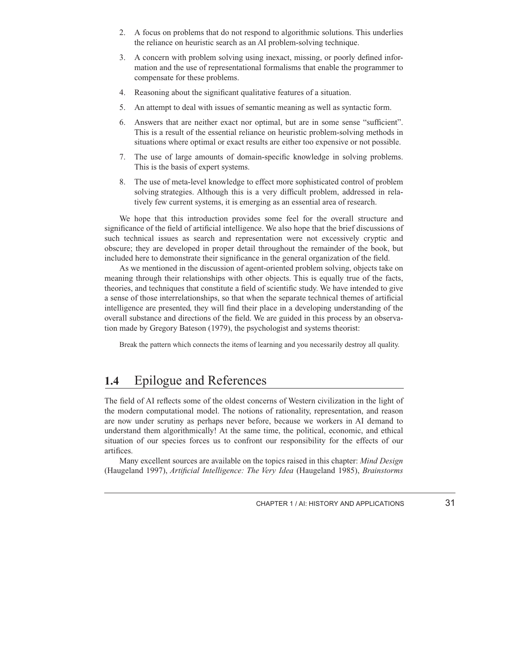- 2. A focus on problems that do not respond to algorithmic solutions. This underlies the reliance on heuristic search as an AI problem-solving technique.
- 3. A concern with problem solving using inexact, missing, or poorly defined information and the use of representational formalisms that enable the programmer to compensate for these problems.
- 4. Reasoning about the significant qualitative features of a situation.
- 5. An attempt to deal with issues of semantic meaning as well as syntactic form.
- 6. Answers that are neither exact nor optimal, but are in some sense "sufficient". This is a result of the essential reliance on heuristic problem-solving methods in situations where optimal or exact results are either too expensive or not possible.
- 7. The use of large amounts of domain-specific knowledge in solving problems. This is the basis of expert systems.
- 8. The use of meta-level knowledge to effect more sophisticated control of problem solving strategies. Although this is a very difficult problem, addressed in relatively few current systems, it is emerging as an essential area of research.

We hope that this introduction provides some feel for the overall structure and significance of the field of artificial intelligence. We also hope that the brief discussions of such technical issues as search and representation were not excessively cryptic and obscure; they are developed in proper detail throughout the remainder of the book, but included here to demonstrate their significance in the general organization of the field.

As we mentioned in the discussion of agent-oriented problem solving, objects take on meaning through their relationships with other objects. This is equally true of the facts, theories, and techniques that constitute a field of scientific study. We have intended to give a sense of those interrelationships, so that when the separate technical themes of artificial intelligence are presented, they will find their place in a developing understanding of the overall substance and directions of the field. We are guided in this process by an observation made by Gregory Bateson (1979), the psychologist and systems theorist:

Break the pattern which connects the items of learning and you necessarily destroy all quality.

### **1.4** Epilogue and References

The field of AI reflects some of the oldest concerns of Western civilization in the light of the modern computational model. The notions of rationality, representation, and reason are now under scrutiny as perhaps never before, because we workers in AI demand to understand them algorithmically! At the same time, the political, economic, and ethical situation of our species forces us to confront our responsibility for the effects of our artifices.

Many excellent sources are available on the topics raised in this chapter: *Mind Design* (Haugeland 1997), *Artificial Intelligence: The Very Idea* (Haugeland 1985), *Brainstorms*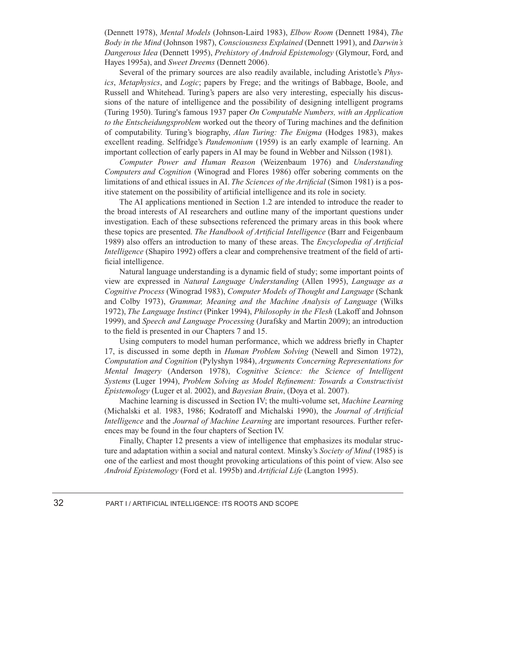(Dennett 1978), *Mental Models* (Johnson-Laird 1983), *Elbow Room* (Dennett 1984), *The Body in the Mind* (Johnson 1987), *Consciousness Explained* (Dennett 1991), and *Darwin's Dangerous Idea* (Dennett 1995), *Prehistory of Android Epistemology* (Glymour, Ford, and Hayes 1995a), and *Sweet Dreems* (Dennett 2006).

Several of the primary sources are also readily available, including Aristotle's *Physics*, *Metaphysics*, and *Logic*; papers by Frege; and the writings of Babbage, Boole, and Russell and Whitehead. Turing's papers are also very interesting, especially his discussions of the nature of intelligence and the possibility of designing intelligent programs (Turing 1950). Turing's famous 1937 paper *On Computable Numbers, with an Application to the Entscheidungsproblem* worked out the theory of Turing machines and the definition of computability. Turing's biography, *Alan Turing: The Enigma* (Hodges 1983), makes excellent reading. Selfridge's *Pandemonium* (1959) is an early example of learning. An important collection of early papers in AI may be found in Webber and Nilsson (1981).

*Computer Power and Human Reason* (Weizenbaum 1976) and *Understanding Computers and Cognition* (Winograd and Flores 1986) offer sobering comments on the limitations of and ethical issues in AI. *The Sciences of the Artificial* (Simon 1981) is a positive statement on the possibility of artificial intelligence and its role in society.

The AI applications mentioned in Section 1.2 are intended to introduce the reader to the broad interests of AI researchers and outline many of the important questions under investigation. Each of these subsections referenced the primary areas in this book where these topics are presented. *The Handbook of Artificial Intelligence* (Barr and Feigenbaum 1989) also offers an introduction to many of these areas. The *Encyclopedia of Artificial Intelligence* (Shapiro 1992) offers a clear and comprehensive treatment of the field of artificial intelligence.

Natural language understanding is a dynamic field of study; some important points of view are expressed in *Natural Language Understanding* (Allen 1995), *Language as a Cognitive Process* (Winograd 1983), *Computer Models of Thought and Language* (Schank and Colby 1973), *Grammar, Meaning and the Machine Analysis of Language* (Wilks 1972), *The Language Instinct* (Pinker 1994), *Philosophy in the Flesh* (Lakoff and Johnson 1999), and *Speech and Language Processing* (Jurafsky and Martin 2009); an introduction to the field is presented in our Chapters 7 and 15.

Using computers to model human performance, which we address briefly in Chapter 17, is discussed in some depth in *Human Problem Solving* (Newell and Simon 1972), *Computation and Cognition* (Pylyshyn 1984), *Arguments Concerning Representations for Mental Imagery* (Anderson 1978), *Cognitive Science: the Science of Intelligent Systems* (Luger 1994), *Problem Solving as Model Refinement: Towards a Constructivist Epistemology* (Luger et al. 2002), and *Bayesian Brain*, (Doya et al. 2007).

Machine learning is discussed in Section IV; the multi-volume set, *Machine Learning* (Michalski et al. 1983, 1986; Kodratoff and Michalski 1990), the *Journal of Artificial Intelligence* and the *Journal of Machine Learning* are important resources. Further references may be found in the four chapters of Section IV.

Finally, Chapter 12 presents a view of intelligence that emphasizes its modular structure and adaptation within a social and natural context. Minsky's *Society of Mind* (1985) is one of the earliest and most thought provoking articulations of this point of view. Also see *Android Epistemology* (Ford et al. 1995b) and *Artificial Life* (Langton 1995).